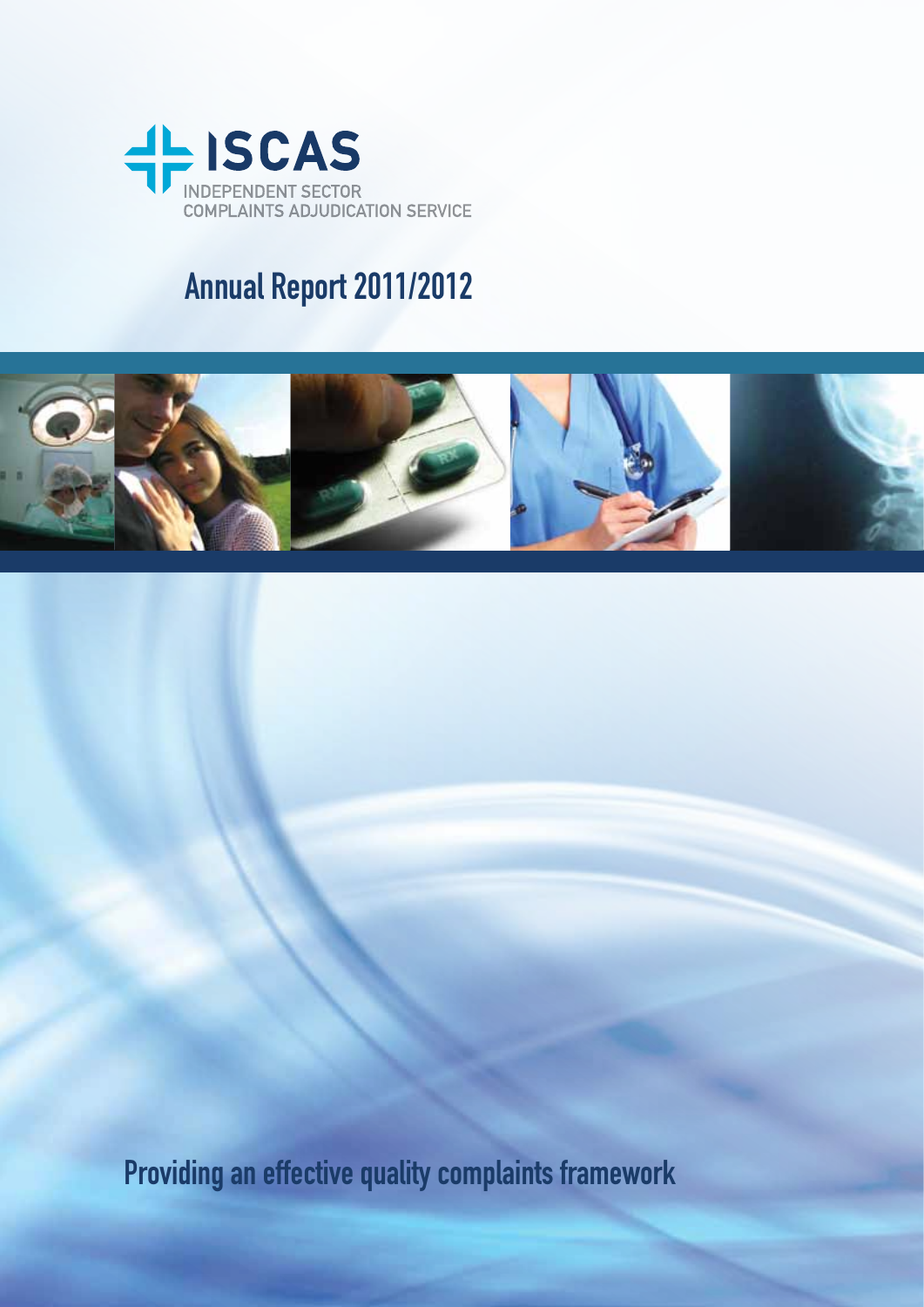

# Annual Report 2011/2012



Providing an effective quality complaints framework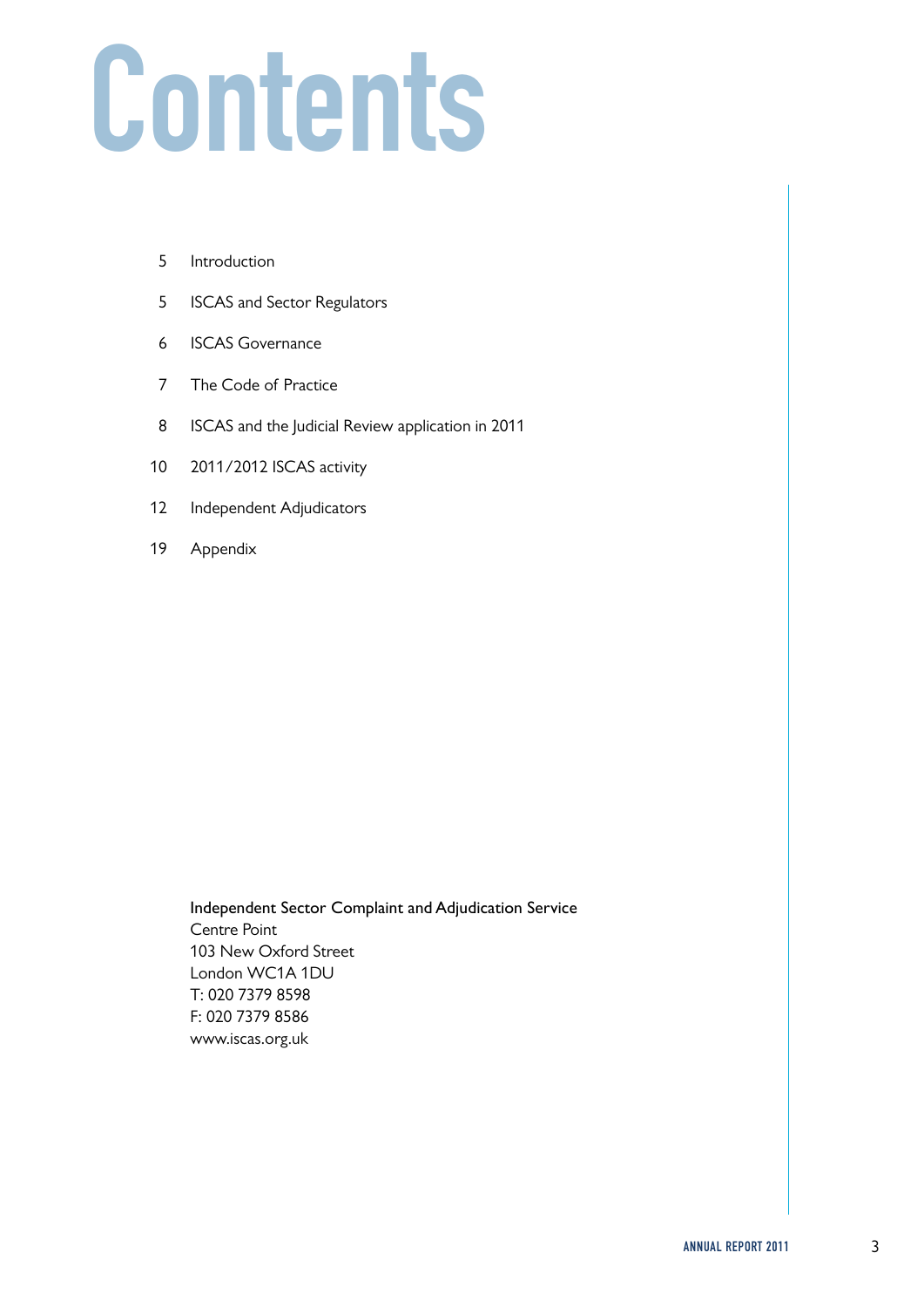# Contents

- Introduction 5
- ISCAS and Sector Regulators 5
- ISCAS Governance 6
- The Code of Practice 7
- ISCAS and the Judicial Review application in 2011 8
- 2011/2012 ISCAS activity 10
- Independent Adjudicators 12
- Appendix 19

Independent Sector Complaint and Adjudication Service Centre Point 103 New Oxford Street London WC1A 1DU T: 020 7379 8598 F: 020 7379 8586 www.iscas.org.uk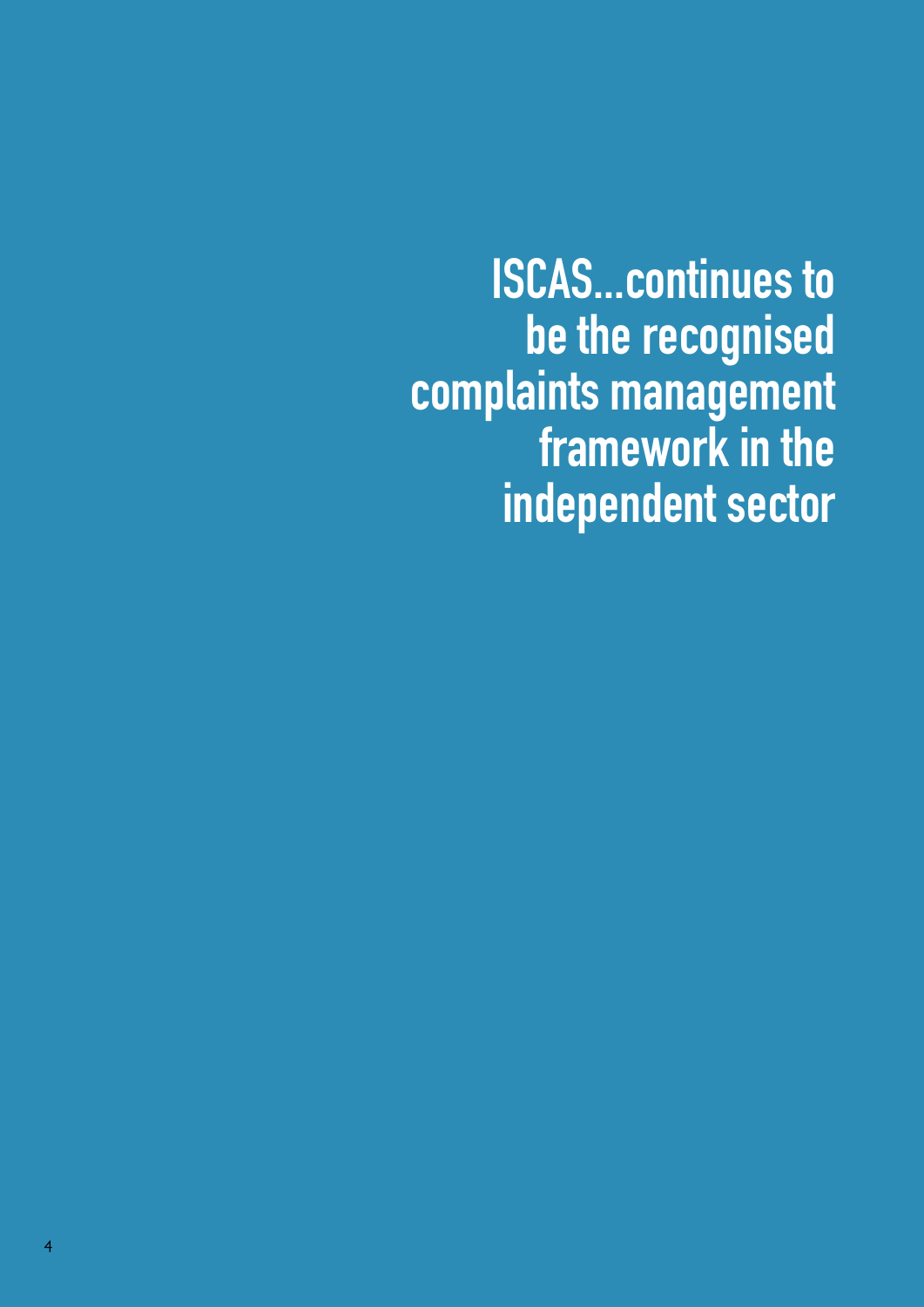ISCAS...continues to be the recognised complaints management framework in the independent sector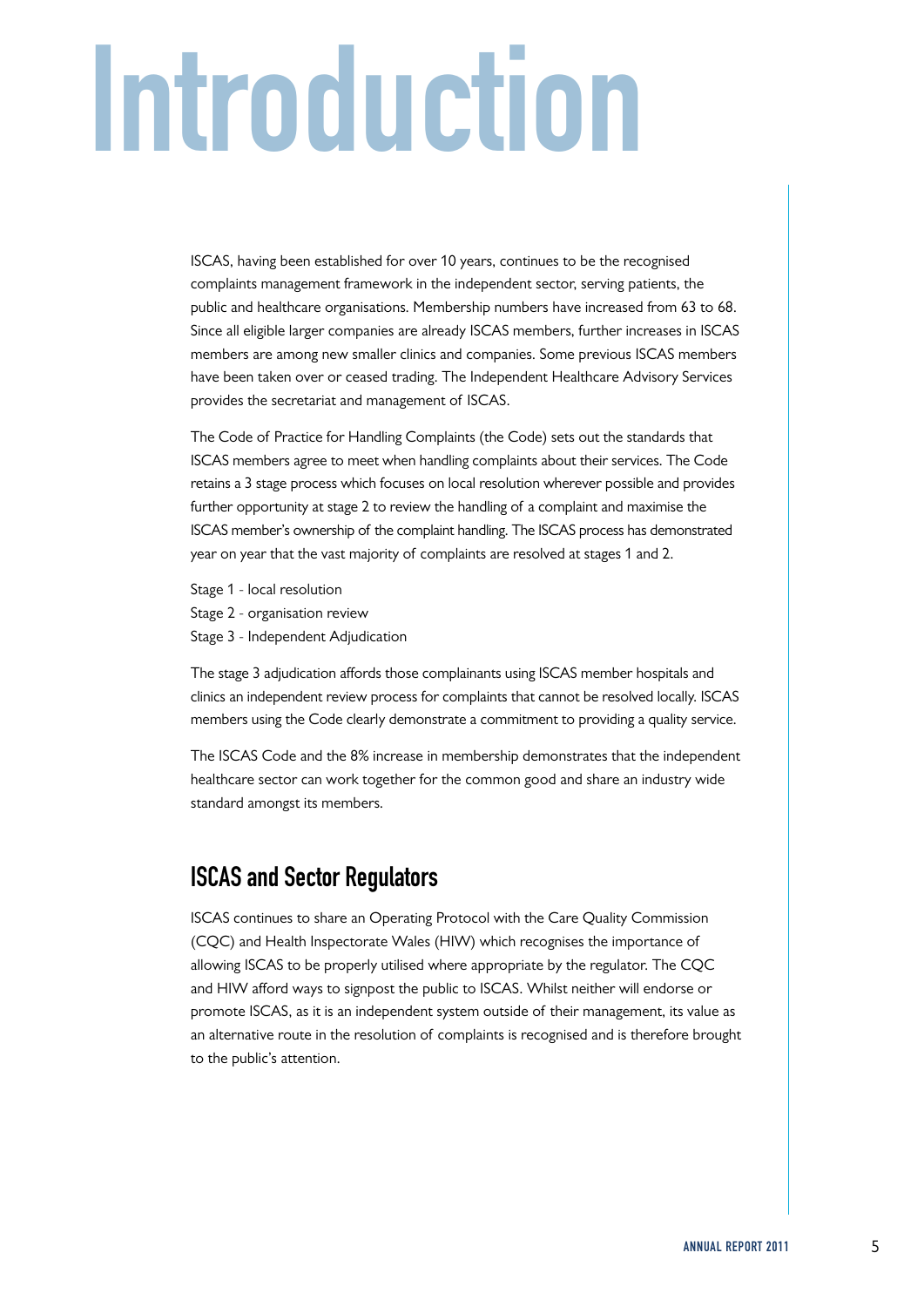# Introduction

ISCAS, having been established for over 10 years, continues to be the recognised complaints management framework in the independent sector, serving patients, the public and healthcare organisations. Membership numbers have increased from 63 to 68. Since all eligible larger companies are already ISCAS members, further increases in ISCAS members are among new smaller clinics and companies. Some previous ISCAS members have been taken over or ceased trading. The Independent Healthcare Advisory Services provides the secretariat and management of ISCAS.

The Code of Practice for Handling Complaints (the Code) sets out the standards that ISCAS members agree to meet when handling complaints about their services. The Code retains a 3 stage process which focuses on local resolution wherever possible and provides further opportunity at stage 2 to review the handling of a complaint and maximise the ISCAS member's ownership of the complaint handling. The ISCAS process has demonstrated year on year that the vast majority of complaints are resolved at stages 1 and 2.

Stage 1 - local resolution Stage 2 - organisation review Stage 3 - Independent Adjudication

The stage 3 adjudication affords those complainants using ISCAS member hospitals and clinics an independent review process for complaints that cannot be resolved locally. ISCAS members using the Code clearly demonstrate a commitment to providing a quality service.

The ISCAS Code and the 8% increase in membership demonstrates that the independent healthcare sector can work together for the common good and share an industry wide standard amongst its members.

# ISCAS and Sector Regulators

ISCAS continues to share an Operating Protocol with the Care Quality Commission (CQC) and Health Inspectorate Wales (HIW) which recognises the importance of allowing ISCAS to be properly utilised where appropriate by the regulator. The CQC and HIW afford ways to signpost the public to ISCAS. Whilst neither will endorse or promote ISCAS, as it is an independent system outside of their management, its value as an alternative route in the resolution of complaints is recognised and is therefore brought to the public's attention.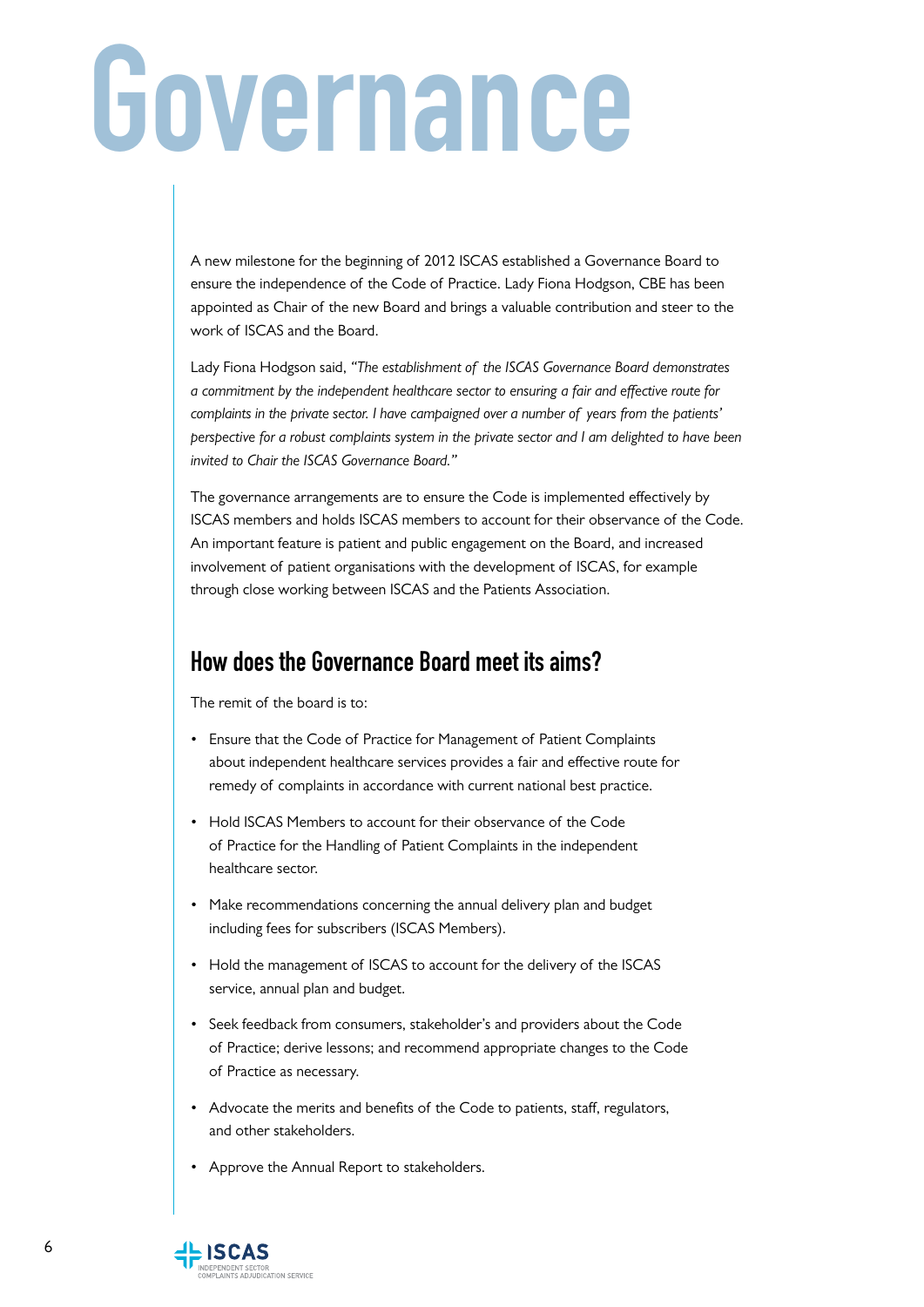# Governance

A new milestone for the beginning of 2012 ISCAS established a Governance Board to ensure the independence of the Code of Practice. Lady Fiona Hodgson, CBE has been appointed as Chair of the new Board and brings a valuable contribution and steer to the work of ISCAS and the Board.

Lady Fiona Hodgson said, *"The establishment of the ISCAS Governance Board demonstrates a commitment by the independent healthcare sector to ensuring a fair and effective route for complaints in the private sector. I have campaigned over a number of years from the patients' perspective for a robust complaints system in the private sector and I am delighted to have been invited to Chair the ISCAS Governance Board."* 

The governance arrangements are to ensure the Code is implemented effectively by ISCAS members and holds ISCAS members to account for their observance of the Code. An important feature is patient and public engagement on the Board, and increased involvement of patient organisations with the development of ISCAS, for example through close working between ISCAS and the Patients Association.

# How does the Governance Board meet its aims?

The remit of the board is to:

- Ensure that the Code of Practice for Management of Patient Complaints about independent healthcare services provides a fair and effective route for remedy of complaints in accordance with current national best practice.
- Hold ISCAS Members to account for their observance of the Code of Practice for the Handling of Patient Complaints in the independent healthcare sector.
- Make recommendations concerning the annual delivery plan and budget including fees for subscribers (ISCAS Members).
- Hold the management of ISCAS to account for the delivery of the ISCAS service, annual plan and budget.
- Seek feedback from consumers, stakeholder's and providers about the Code of Practice; derive lessons; and recommend appropriate changes to the Code of Practice as necessary.
- Advocate the merits and benefits of the Code to patients, staff, regulators, and other stakeholders.
- • Approve the Annual Report to stakeholders.

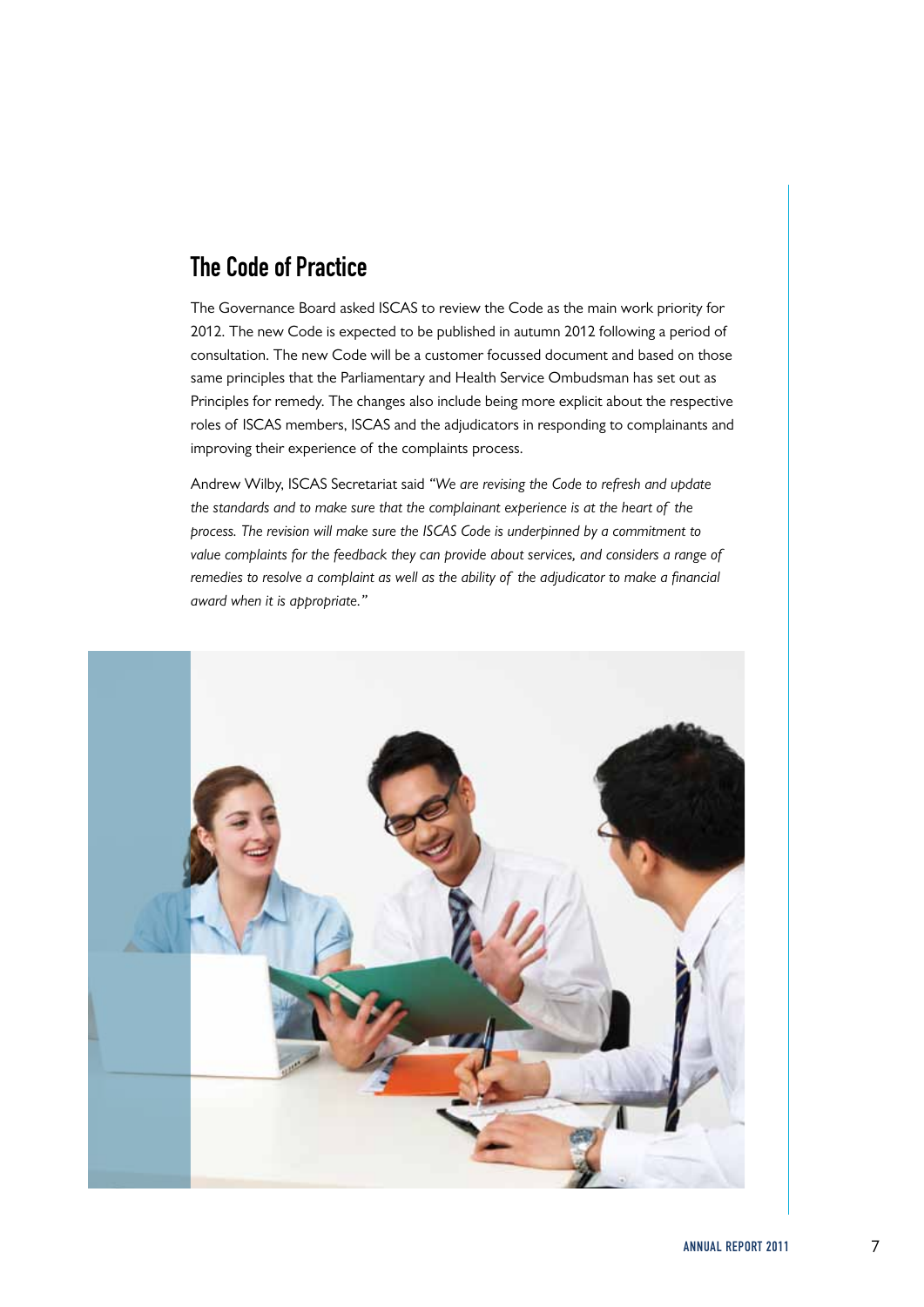# The Code of Practice

The Governance Board asked ISCAS to review the Code as the main work priority for 2012. The new Code is expected to be published in autumn 2012 following a period of consultation. The new Code will be a customer focussed document and based on those same principles that the Parliamentary and Health Service Ombudsman has set out as Principles for remedy. The changes also include being more explicit about the respective roles of ISCAS members, ISCAS and the adjudicators in responding to complainants and improving their experience of the complaints process.

Andrew Wilby, ISCAS Secretariat said *"We are revising the Code to refresh and update the standards and to make sure that the complainant experience is at the heart of the process. The revision will make sure the ISCAS Code is underpinned by a commitment to value complaints for the feedback they can provide about services, and considers a range of remedies to resolve a complaint as well as the ability of the adjudicator to make a financial award when it is appropriate."* 

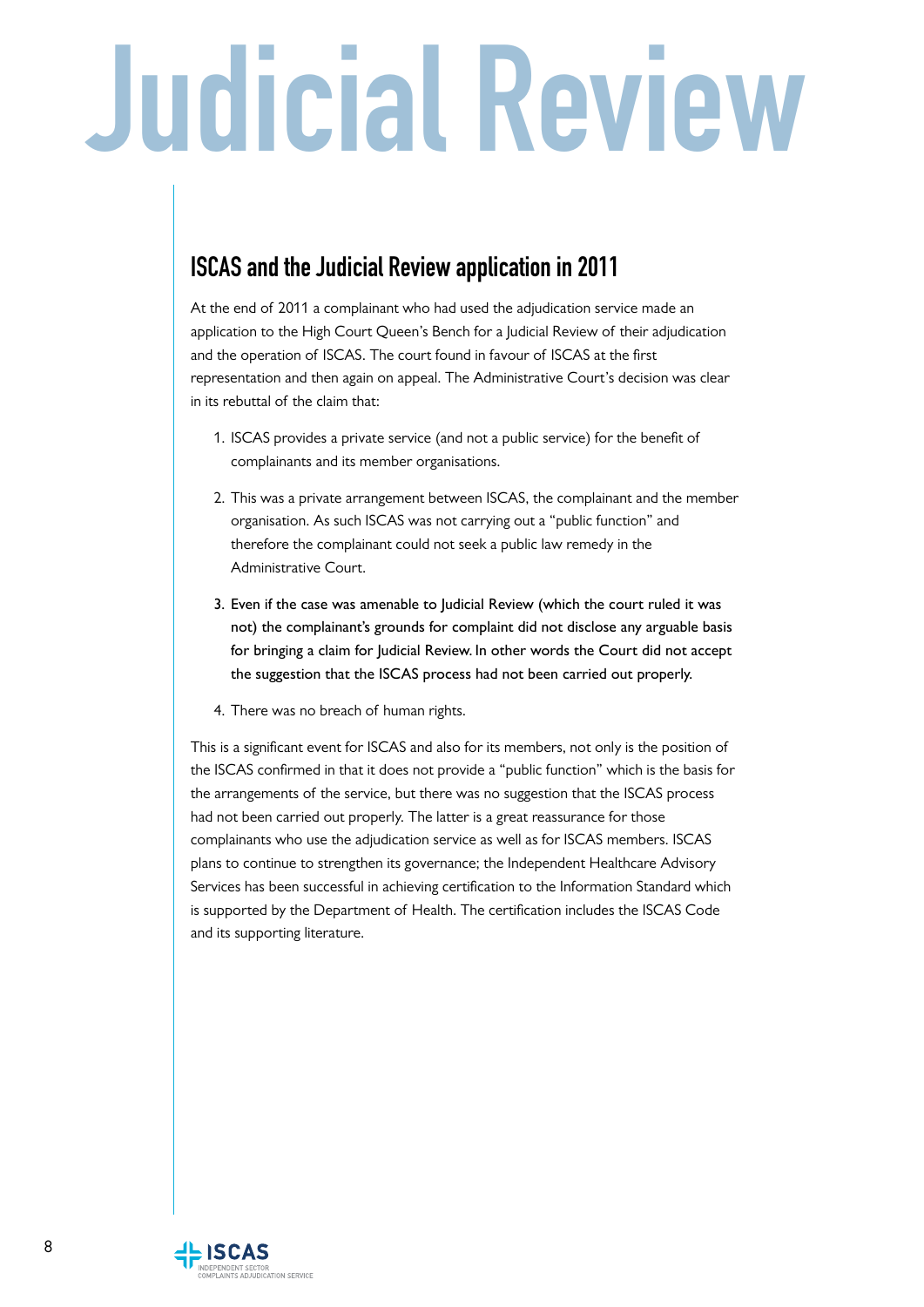# Judicial Review

# ISCAS and the Judicial Review application in 2011

At the end of 2011 a complainant who had used the adjudication service made an application to the High Court Queen's Bench for a Judicial Review of their adjudication and the operation of ISCAS. The court found in favour of ISCAS at the first representation and then again on appeal. The Administrative Court's decision was clear in its rebuttal of the claim that:

- 1. ISCAS provides a private service (and not a public service) for the benefit of complainants and its member organisations.
- 2. This was a private arrangement between ISCAS, the complainant and the member organisation. As such ISCAS was not carrying out a "public function" and therefore the complainant could not seek a public law remedy in the Administrative Court.
- 3. Even if the case was amenable to Judicial Review (which the court ruled it was not) the complainant's grounds for complaint did not disclose any arguable basis for bringing a claim for Judicial Review. In other words the Court did not accept the suggestion that the ISCAS process had not been carried out properly.
- 4. There was no breach of human rights.

This is a significant event for ISCAS and also for its members, not only is the position of the ISCAS confirmed in that it does not provide a "public function" which is the basis for the arrangements of the service, but there was no suggestion that the ISCAS process had not been carried out properly. The latter is a great reassurance for those complainants who use the adjudication service as well as for ISCAS members. ISCAS plans to continue to strengthen its governance; the Independent Healthcare Advisory Services has been successful in achieving certification to the Information Standard which is supported by the Department of Health. The certification includes the ISCAS Code and its supporting literature.

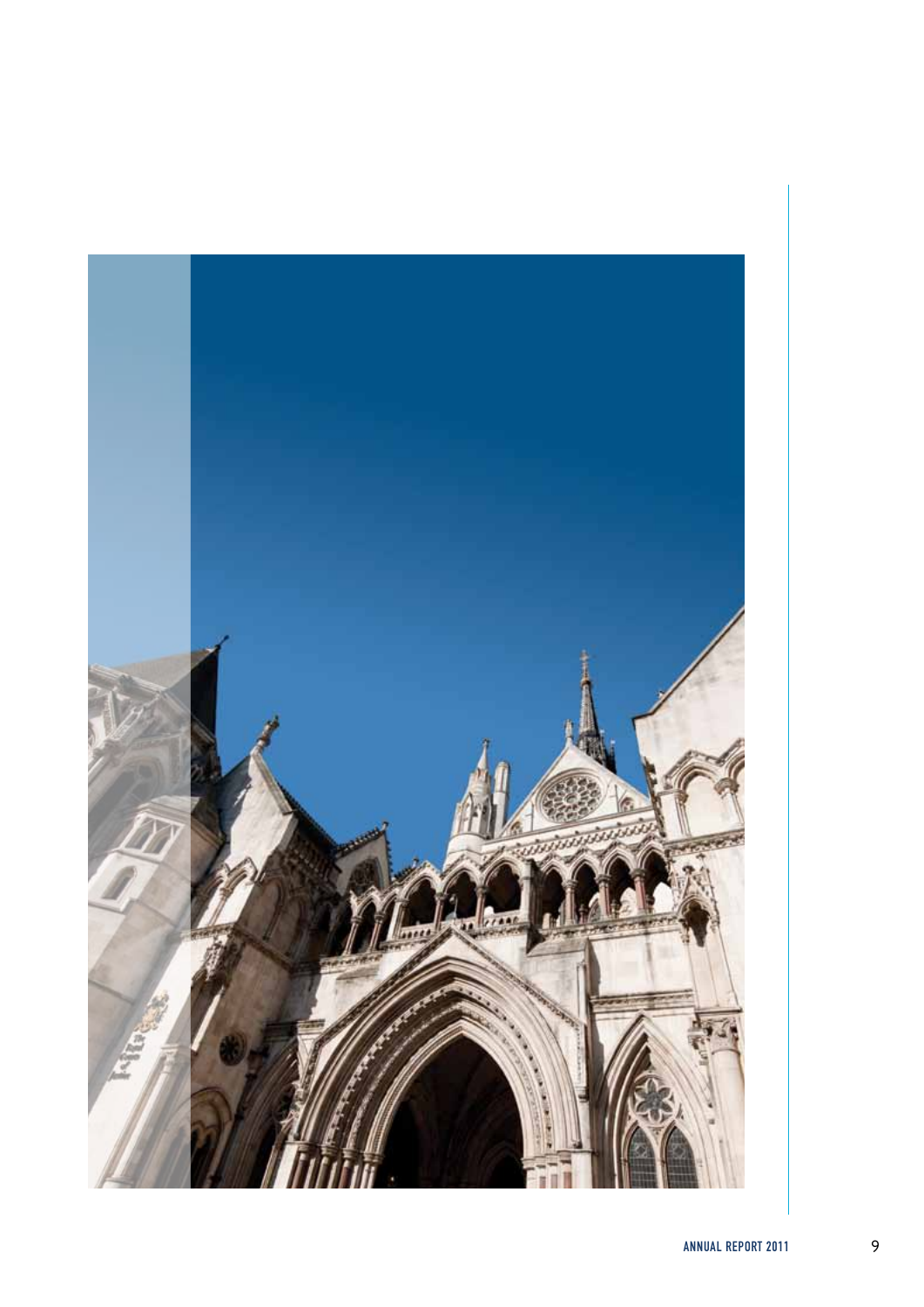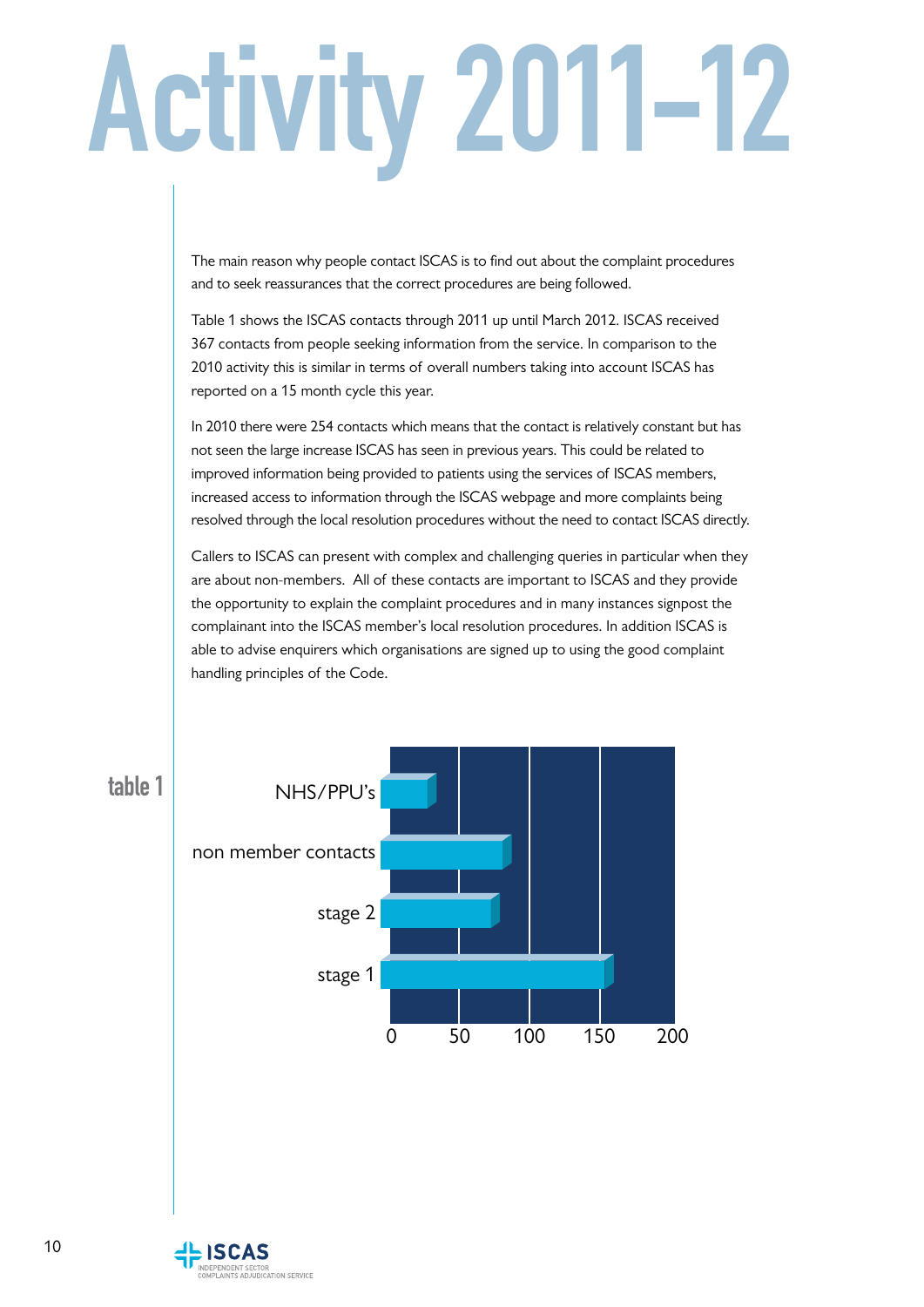# Activity 2011-12

The main reason why people contact ISCAS is to find out about the complaint procedures and to seek reassurances that the correct procedures are being followed.

Table 1 shows the ISCAS contacts through 2011 up until March 2012. ISCAS received 367 contacts from people seeking information from the service. In comparison to the 2010 activity this is similar in terms of overall numbers taking into account ISCAS has reported on a 15 month cycle this year.

In 2010 there were 254 contacts which means that the contact is relatively constant but has not seen the large increase ISCAS has seen in previous years. This could be related to improved information being provided to patients using the services of ISCAS members, increased access to information through the ISCAS webpage and more complaints being resolved through the local resolution procedures without the need to contact ISCAS directly.

Callers to ISCAS can present with complex and challenging queries in particular when they are about non-members. All of these contacts are important to ISCAS and they provide the opportunity to explain the complaint procedures and in many instances signpost the complainant into the ISCAS member's local resolution procedures. In addition ISCAS is able to advise enquirers which organisations are signed up to using the good complaint handling principles of the Code.



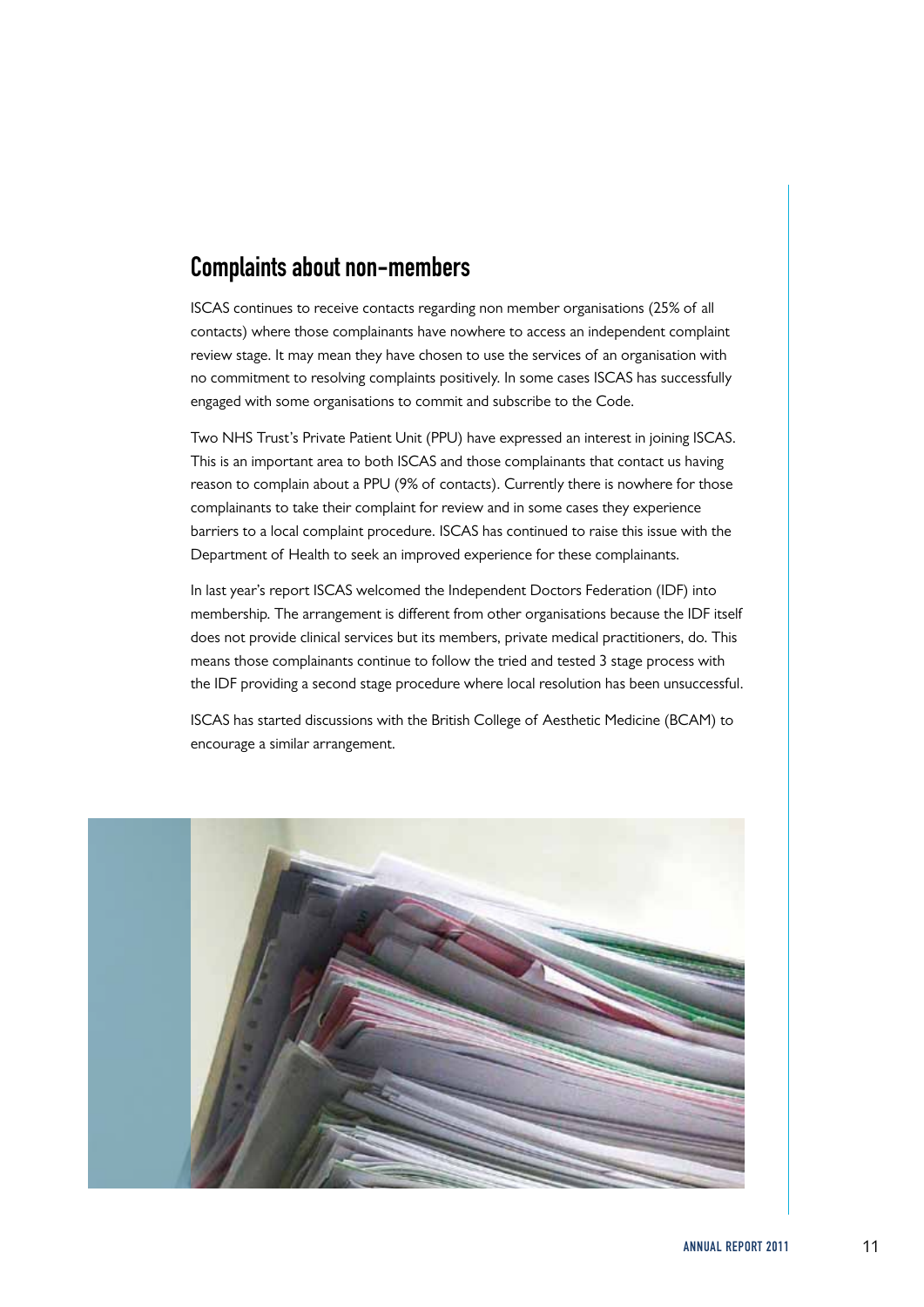# Complaints about non-members

ISCAS continues to receive contacts regarding non member organisations (25% of all contacts) where those complainants have nowhere to access an independent complaint review stage. It may mean they have chosen to use the services of an organisation with no commitment to resolving complaints positively. In some cases ISCAS has successfully engaged with some organisations to commit and subscribe to the Code.

Two NHS Trust's Private Patient Unit (PPU) have expressed an interest in joining ISCAS. This is an important area to both ISCAS and those complainants that contact us having reason to complain about a PPU (9% of contacts). Currently there is nowhere for those complainants to take their complaint for review and in some cases they experience barriers to a local complaint procedure. ISCAS has continued to raise this issue with the Department of Health to seek an improved experience for these complainants.

In last year's report ISCAS welcomed the Independent Doctors Federation (IDF) into membership. The arrangement is different from other organisations because the IDF itself does not provide clinical services but its members, private medical practitioners, do. This means those complainants continue to follow the tried and tested 3 stage process with the IDF providing a second stage procedure where local resolution has been unsuccessful.

ISCAS has started discussions with the British College of Aesthetic Medicine (BCAM) to encourage a similar arrangement.

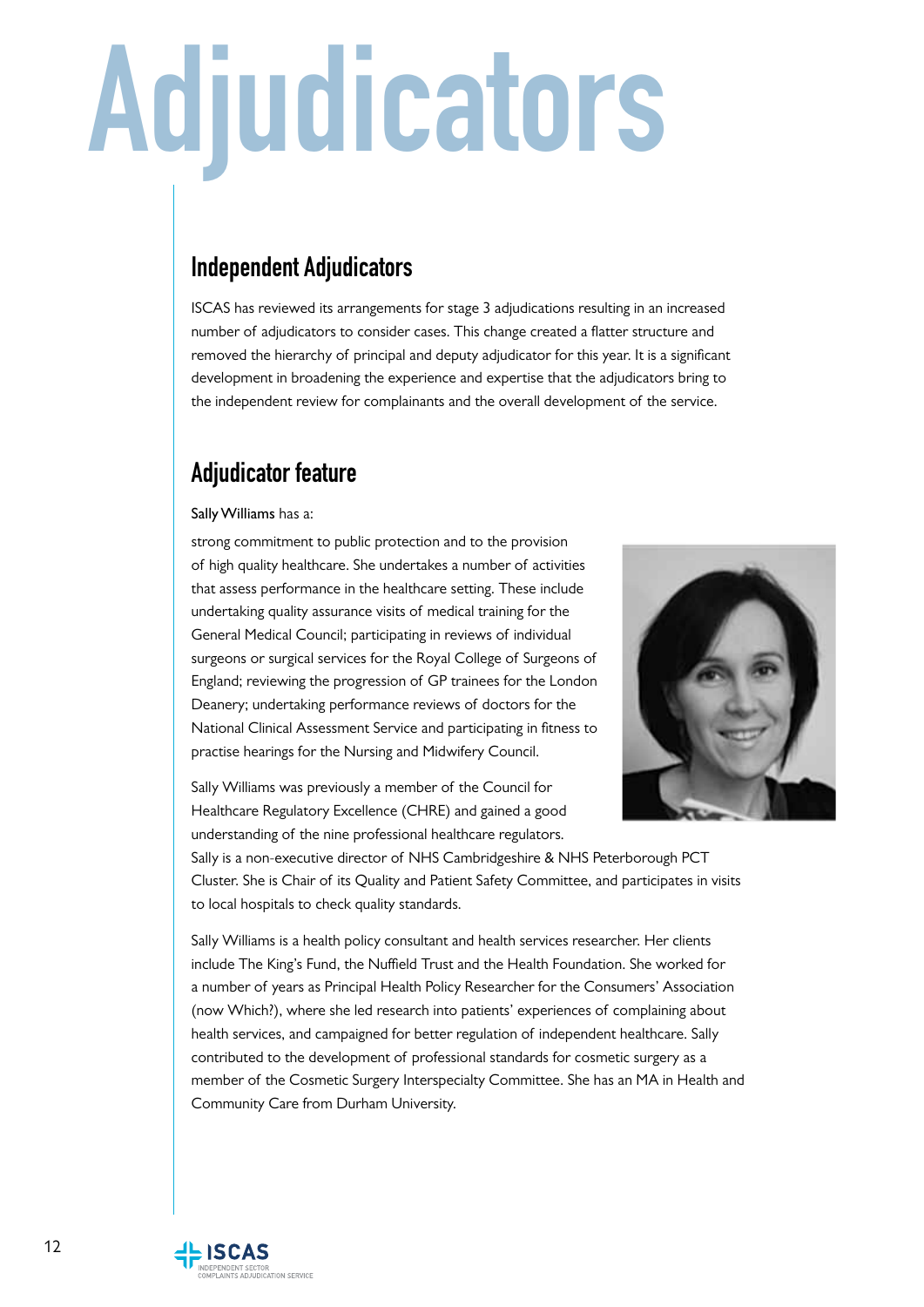# Adjudicators

# Independent Adjudicators

ISCAS has reviewed its arrangements for stage 3 adjudications resulting in an increased number of adjudicators to consider cases. This change created a flatter structure and removed the hierarchy of principal and deputy adjudicator for this year. It is a significant development in broadening the experience and expertise that the adjudicators bring to the independent review for complainants and the overall development of the service.

# Adjudicator feature

Sally Williams has a:

strong commitment to public protection and to the provision of high quality healthcare. She undertakes a number of activities that assess performance in the healthcare setting. These include undertaking quality assurance visits of medical training for the General Medical Council; participating in reviews of individual surgeons or surgical services for the Royal College of Surgeons of England; reviewing the progression of GP trainees for the London Deanery; undertaking performance reviews of doctors for the National Clinical Assessment Service and participating in fitness to practise hearings for the Nursing and Midwifery Council.

Sally Williams was previously a member of the Council for Healthcare Regulatory Excellence (CHRE) and gained a good understanding of the nine professional healthcare regulators.



Sally is a non-executive director of NHS Cambridgeshire & NHS Peterborough PCT Cluster. She is Chair of its Quality and Patient Safety Committee, and participates in visits to local hospitals to check quality standards.

Sally Williams is a health policy consultant and health services researcher. Her clients include The King's Fund, the Nuffield Trust and the Health Foundation. She worked for a number of years as Principal Health Policy Researcher for the Consumers' Association (now Which?), where she led research into patients' experiences of complaining about health services, and campaigned for better regulation of independent healthcare. Sally contributed to the development of professional standards for cosmetic surgery as a member of the Cosmetic Surgery Interspecialty Committee. She has an MA in Health and Community Care from Durham University.

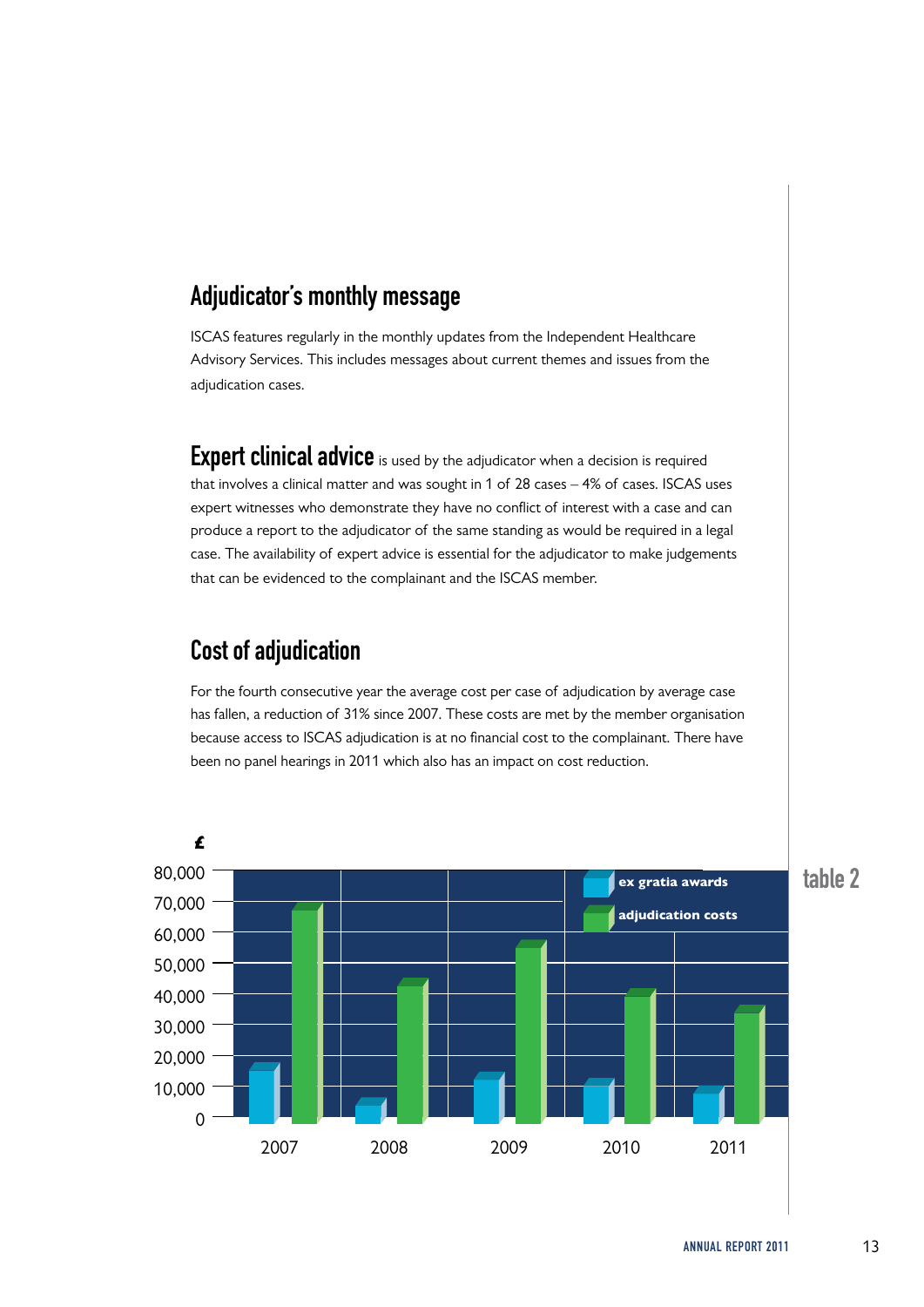# Adjudicator's monthly message

ISCAS features regularly in the monthly updates from the Independent Healthcare Advisory Services. This includes messages about current themes and issues from the adjudication cases.

Expert clinical advice is used by the adjudicator when a decision is required that involves a clinical matter and was sought in 1 of 28 cases – 4% of cases. ISCAS uses expert witnesses who demonstrate they have no conflict of interest with a case and can produce a report to the adjudicator of the same standing as would be required in a legal case. The availability of expert advice is essential for the adjudicator to make judgements that can be evidenced to the complainant and the ISCAS member.

# Cost of adjudication

For the fourth consecutive year the average cost per case of adjudication by average case has fallen, a reduction of 31% since 2007. These costs are met by the member organisation because access to ISCAS adjudication is at no financial cost to the complainant. There have been no panel hearings in 2011 which also has an impact on cost reduction.

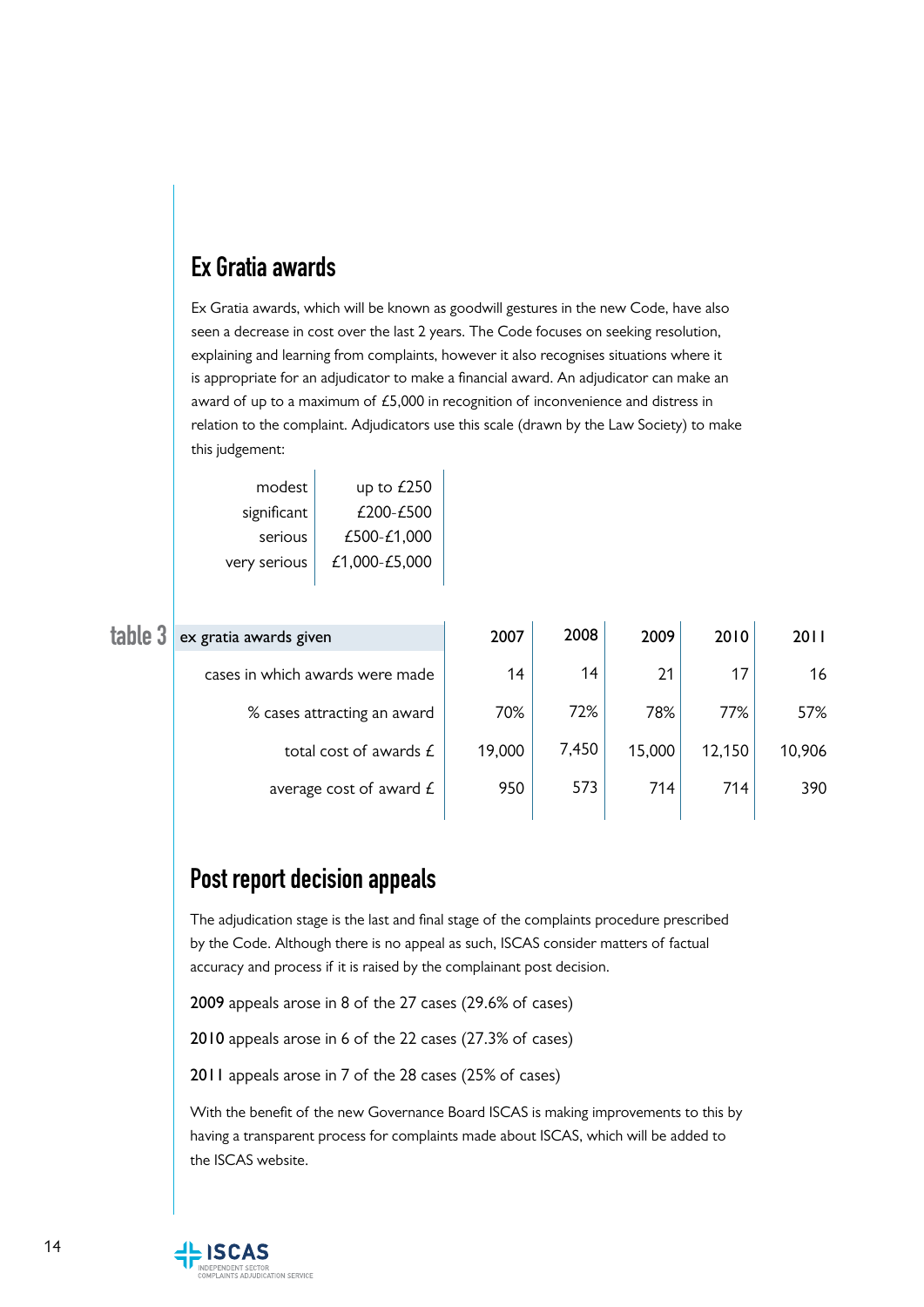# Ex Gratia awards

Ex Gratia awards, which will be known as goodwill gestures in the new Code, have also seen a decrease in cost over the last 2 years. The Code focuses on seeking resolution, explaining and learning from complaints, however it also recognises situations where it is appropriate for an adjudicator to make a financial award. An adjudicator can make an award of up to a maximum of £5,000 in recognition of inconvenience and distress in relation to the complaint. Adjudicators use this scale (drawn by the Law Society) to make this judgement:

| modest       | up to $£250$     |
|--------------|------------------|
| significant  | $f$ 200- $f$ 500 |
| serious      | £500-£1,000      |
| very serious | £1,000-£5,000    |
|              |                  |

| table 3 | ex gratia awards given          | 2007   | 2008  | 2009   | 2010   | 2011   |
|---------|---------------------------------|--------|-------|--------|--------|--------|
|         | cases in which awards were made | 14     | 14    | 21     | 17     | 16     |
|         | % cases attracting an award     | 70%    | 72%   | 78%    | 77%    | 57%    |
|         | total cost of awards $E$        | 19,000 | 7,450 | 15,000 | 12,150 | 10,906 |
|         | average cost of award $E$       | 950    | 573   | 714    | 714    | 390    |
|         |                                 |        |       |        |        |        |

# Post report decision appeals

The adjudication stage is the last and final stage of the complaints procedure prescribed by the Code. Although there is no appeal as such, ISCAS consider matters of factual accuracy and process if it is raised by the complainant post decision.

2009 appeals arose in 8 of the 27 cases (29.6% of cases)

2010 appeals arose in 6 of the 22 cases (27.3% of cases)

2011 appeals arose in 7 of the 28 cases (25% of cases)

With the benefit of the new Governance Board ISCAS is making improvements to this by having a transparent process for complaints made about ISCAS, which will be added to the ISCAS website.

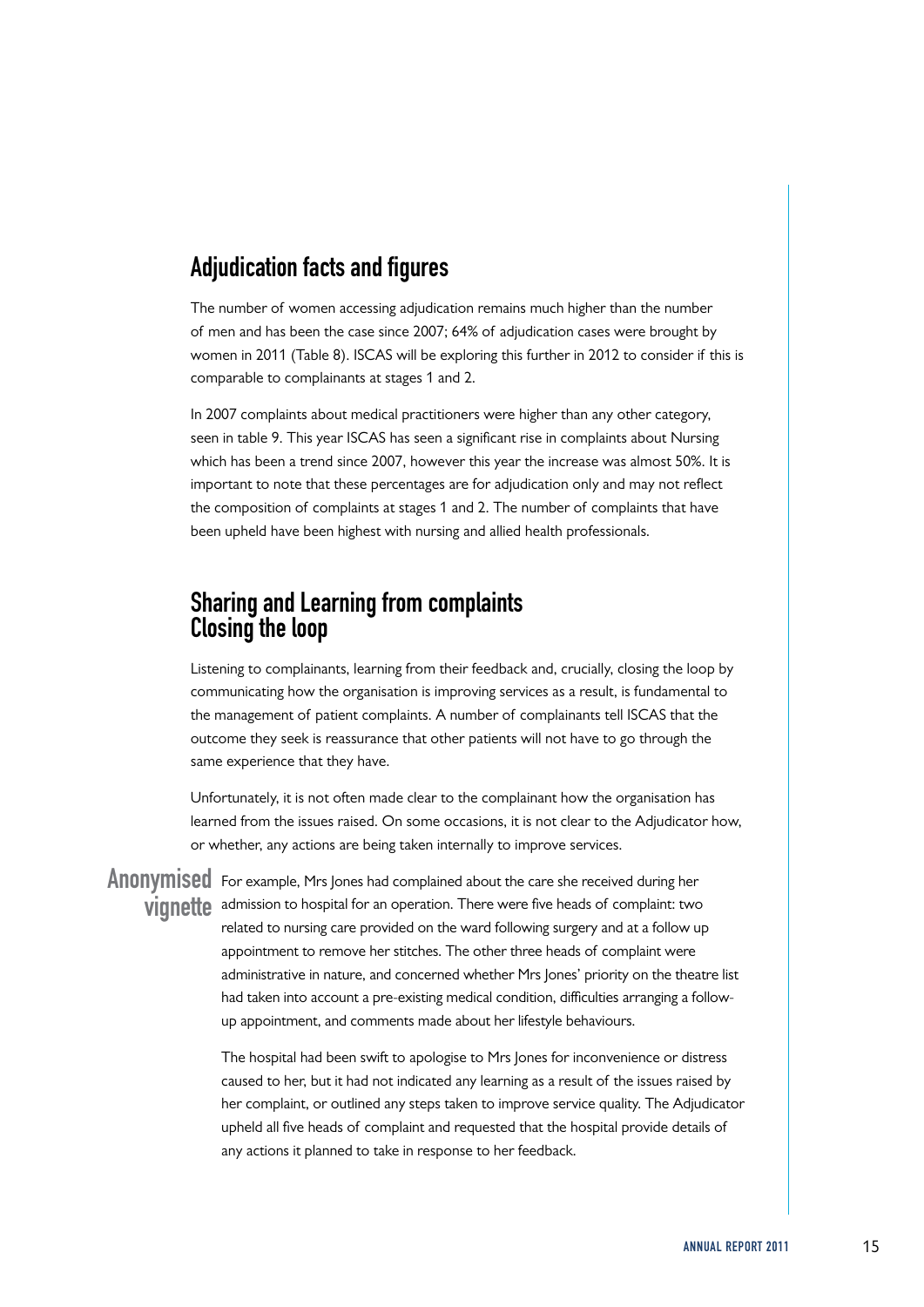# Adjudication facts and figures

The number of women accessing adjudication remains much higher than the number of men and has been the case since 2007; 64% of adjudication cases were brought by women in 2011 (Table 8). ISCAS will be exploring this further in 2012 to consider if this is comparable to complainants at stages 1 and 2.

In 2007 complaints about medical practitioners were higher than any other category, seen in table 9. This year ISCAS has seen a significant rise in complaints about Nursing which has been a trend since 2007, however this year the increase was almost 50%. It is important to note that these percentages are for adjudication only and may not reflect the composition of complaints at stages 1 and 2. The number of complaints that have been upheld have been highest with nursing and allied health professionals.

# Sharing and Learning from complaints Closing the loop

Listening to complainants, learning from their feedback and, crucially, closing the loop by communicating how the organisation is improving services as a result, is fundamental to the management of patient complaints. A number of complainants tell ISCAS that the outcome they seek is reassurance that other patients will not have to go through the same experience that they have.

Unfortunately, it is not often made clear to the complainant how the organisation has learned from the issues raised. On some occasions, it is not clear to the Adjudicator how, or whether, any actions are being taken internally to improve services.

Anonymised For example, Mrs Jones had complained about the care she received during her  $\mathsf{vigner}$  admission to hospital for an operation. There were five heads of complaint: two related to nursing care provided on the ward following surgery and at a follow up appointment to remove her stitches. The other three heads of complaint were administrative in nature, and concerned whether Mrs Jones' priority on the theatre list had taken into account a pre-existing medical condition, difficulties arranging a followup appointment, and comments made about her lifestyle behaviours.

> The hospital had been swift to apologise to Mrs Jones for inconvenience or distress caused to her, but it had not indicated any learning as a result of the issues raised by her complaint, or outlined any steps taken to improve service quality. The Adjudicator upheld all five heads of complaint and requested that the hospital provide details of any actions it planned to take in response to her feedback.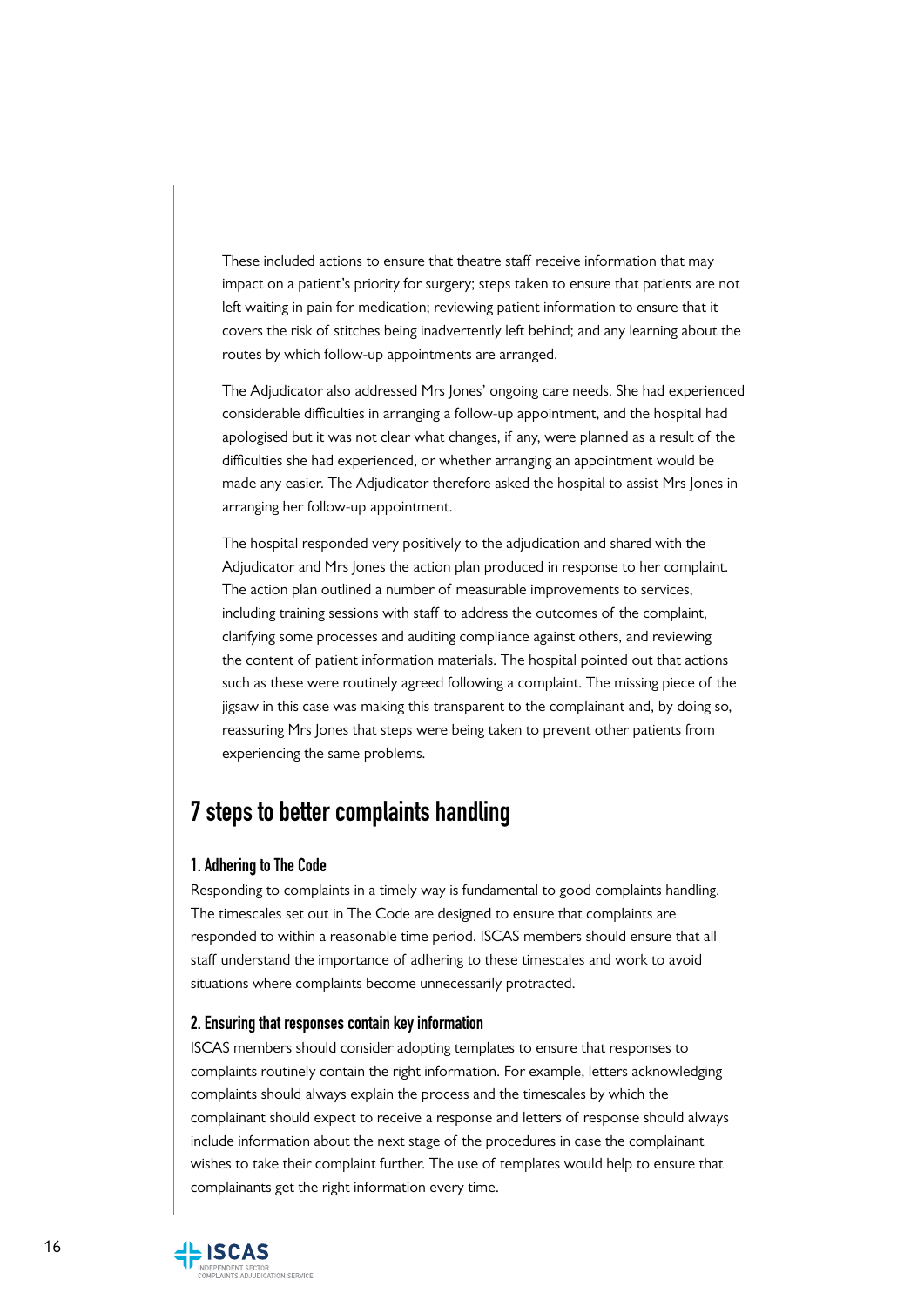These included actions to ensure that theatre staff receive information that may impact on a patient's priority for surgery; steps taken to ensure that patients are not left waiting in pain for medication; reviewing patient information to ensure that it covers the risk of stitches being inadvertently left behind; and any learning about the routes by which follow-up appointments are arranged.

The Adjudicator also addressed Mrs Jones' ongoing care needs. She had experienced considerable difficulties in arranging a follow-up appointment, and the hospital had apologised but it was not clear what changes, if any, were planned as a result of the difficulties she had experienced, or whether arranging an appointment would be made any easier. The Adjudicator therefore asked the hospital to assist Mrs Jones in arranging her follow-up appointment.

The hospital responded very positively to the adjudication and shared with the Adjudicator and Mrs Jones the action plan produced in response to her complaint. The action plan outlined a number of measurable improvements to services, including training sessions with staff to address the outcomes of the complaint, clarifying some processes and auditing compliance against others, and reviewing the content of patient information materials. The hospital pointed out that actions such as these were routinely agreed following a complaint. The missing piece of the jigsaw in this case was making this transparent to the complainant and, by doing so, reassuring Mrs Jones that steps were being taken to prevent other patients from experiencing the same problems.

# 7 steps to better complaints handling

# 1. Adhering to The Code

Responding to complaints in a timely way is fundamental to good complaints handling. The timescales set out in The Code are designed to ensure that complaints are responded to within a reasonable time period. ISCAS members should ensure that all staff understand the importance of adhering to these timescales and work to avoid situations where complaints become unnecessarily protracted.

### 2. Ensuring that responses contain key information

ISCAS members should consider adopting templates to ensure that responses to complaints routinely contain the right information. For example, letters acknowledging complaints should always explain the process and the timescales by which the complainant should expect to receive a response and letters of response should always include information about the next stage of the procedures in case the complainant wishes to take their complaint further. The use of templates would help to ensure that complainants get the right information every time.

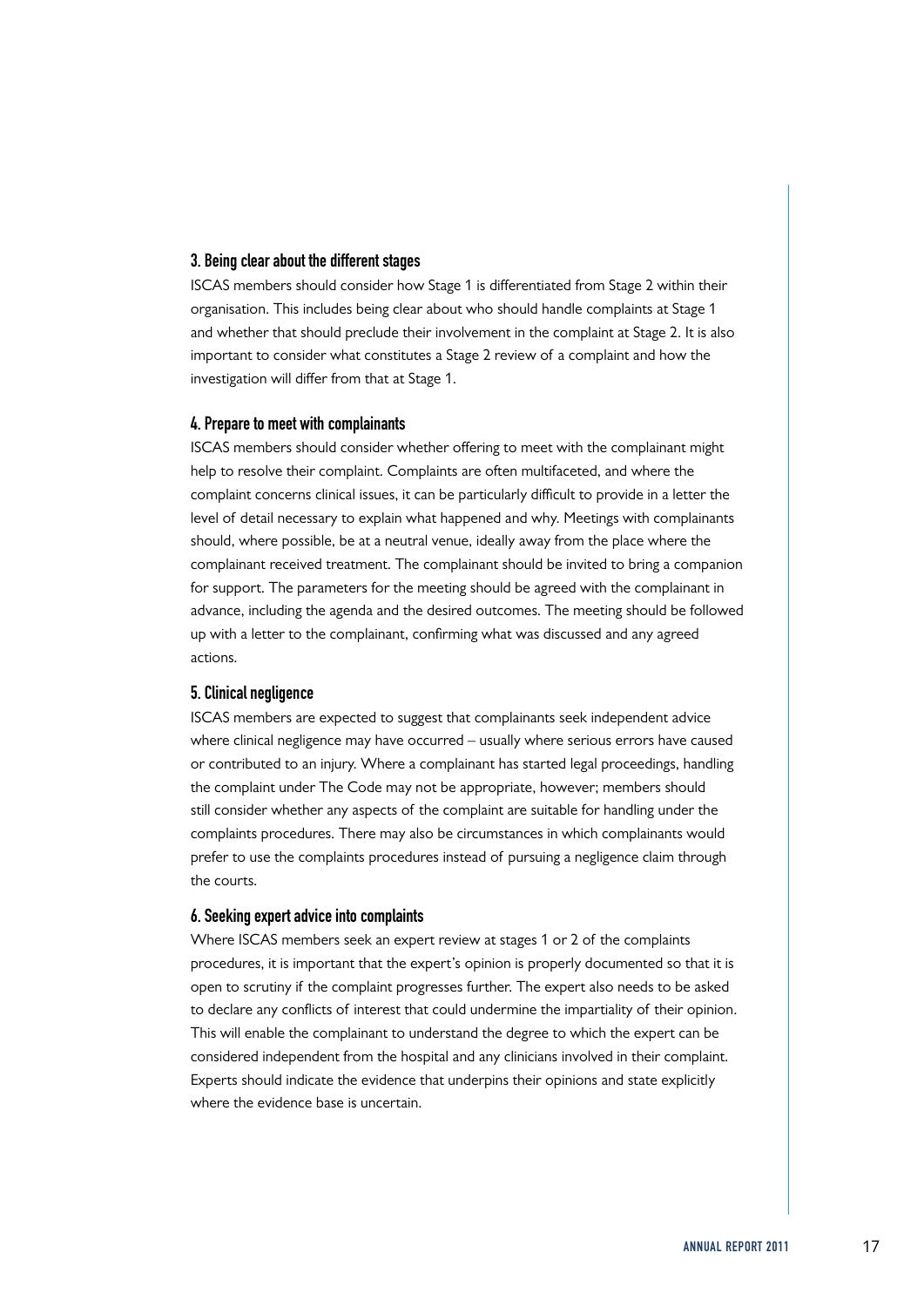# 3. Being clear about the different stages

ISCAS members should consider how Stage 1 is differentiated from Stage 2 within their organisation. This includes being clear about who should handle complaints at Stage 1 and whether that should preclude their involvement in the complaint at Stage 2. It is also important to consider what constitutes a Stage 2 review of a complaint and how the investigation will differ from that at Stage 1.

# 4. Prepare to meet with complainants

ISCAS members should consider whether offering to meet with the complainant might help to resolve their complaint. Complaints are often multifaceted, and where the complaint concerns clinical issues, it can be particularly difficult to provide in a letter the level of detail necessary to explain what happened and why. Meetings with complainants should, where possible, be at a neutral venue, ideally away from the place where the complainant received treatment. The complainant should be invited to bring a companion for support. The parameters for the meeting should be agreed with the complainant in advance, including the agenda and the desired outcomes. The meeting should be followed up with a letter to the complainant, confirming what was discussed and any agreed actions.

# 5. Clinical negligence

ISCAS members are expected to suggest that complainants seek independent advice where clinical negligence may have occurred – usually where serious errors have caused or contributed to an injury. Where a complainant has started legal proceedings, handling the complaint under The Code may not be appropriate, however; members should still consider whether any aspects of the complaint are suitable for handling under the complaints procedures. There may also be circumstances in which complainants would prefer to use the complaints procedures instead of pursuing a negligence claim through the courts.

# 6. Seeking expert advice into complaints

Where ISCAS members seek an expert review at stages 1 or 2 of the complaints procedures, it is important that the expert's opinion is properly documented so that it is open to scrutiny if the complaint progresses further. The expert also needs to be asked to declare any conflicts of interest that could undermine the impartiality of their opinion. This will enable the complainant to understand the degree to which the expert can be considered independent from the hospital and any clinicians involved in their complaint. Experts should indicate the evidence that underpins their opinions and state explicitly where the evidence base is uncertain.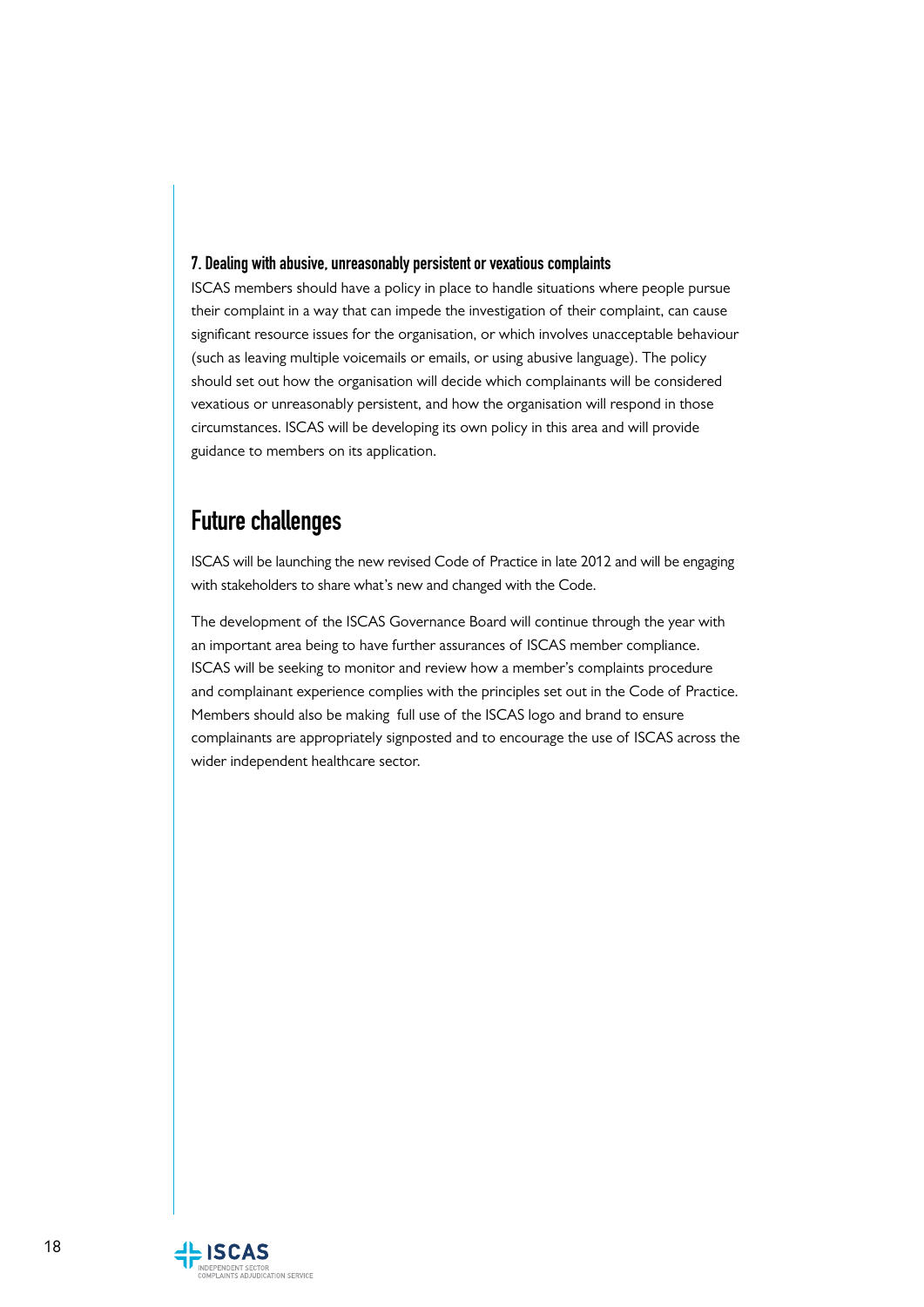# 7. Dealing with abusive, unreasonably persistent or vexatious complaints

ISCAS members should have a policy in place to handle situations where people pursue their complaint in a way that can impede the investigation of their complaint, can cause significant resource issues for the organisation, or which involves unacceptable behaviour (such as leaving multiple voicemails or emails, or using abusive language). The policy should set out how the organisation will decide which complainants will be considered vexatious or unreasonably persistent, and how the organisation will respond in those circumstances. ISCAS will be developing its own policy in this area and will provide guidance to members on its application.

# Future challenges

ISCAS will be launching the new revised Code of Practice in late 2012 and will be engaging with stakeholders to share what's new and changed with the Code.

The development of the ISCAS Governance Board will continue through the year with an important area being to have further assurances of ISCAS member compliance. ISCAS will be seeking to monitor and review how a member's complaints procedure and complainant experience complies with the principles set out in the Code of Practice. Members should also be making full use of the ISCAS logo and brand to ensure complainants are appropriately signposted and to encourage the use of ISCAS across the wider independent healthcare sector.

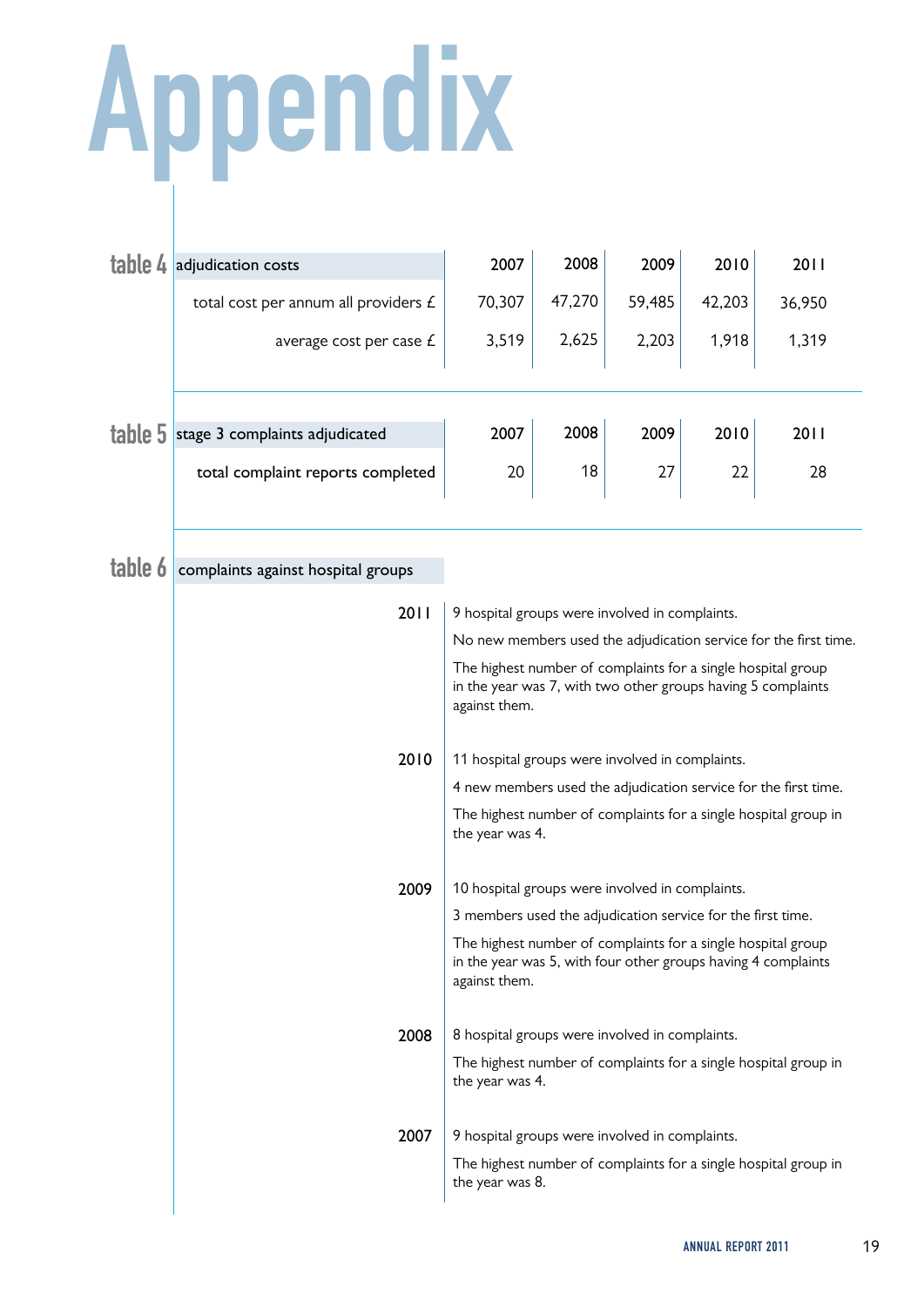# Appendix

| table 4 | adjudication costs                     | 2007   | 2008   | 2009   | 2010   | 2011   |
|---------|----------------------------------------|--------|--------|--------|--------|--------|
|         | total cost per annum all providers $E$ | 70,307 | 47,270 | 59,485 | 42,203 | 36,950 |
|         | average cost per case $E$              | 3,519  | 2,625  | 2,203  | 1,918  | 1,319  |
|         |                                        |        |        |        |        |        |
|         |                                        |        |        |        |        |        |
| table 5 | stage 3 complaints adjudicated         | 2007   | 2008   | 2009   | 2010   | 2011   |
|         | total complaint reports completed      | 20     | 18     | 27     | 22     | 28     |

 $\tanh e$   $\epsilon$  complaints against hospital groups

| 2011 | 9 hospital groups were involved in complaints.                                                                                                 |
|------|------------------------------------------------------------------------------------------------------------------------------------------------|
|      | No new members used the adjudication service for the first time.                                                                               |
|      | The highest number of complaints for a single hospital group<br>in the year was 7, with two other groups having 5 complaints<br>against them.  |
| 2010 | 11 hospital groups were involved in complaints.                                                                                                |
|      | 4 new members used the adjudication service for the first time.                                                                                |
|      | The highest number of complaints for a single hospital group in<br>the year was 4.                                                             |
| 2009 | 10 hospital groups were involved in complaints.                                                                                                |
|      | 3 members used the adjudication service for the first time.                                                                                    |
|      | The highest number of complaints for a single hospital group<br>in the year was 5, with four other groups having 4 complaints<br>against them. |
| 2008 | 8 hospital groups were involved in complaints.                                                                                                 |
|      | The highest number of complaints for a single hospital group in<br>the year was 4.                                                             |
| 2007 | 9 hospital groups were involved in complaints.                                                                                                 |
|      | The highest number of complaints for a single hospital group in<br>the year was 8.                                                             |
|      |                                                                                                                                                |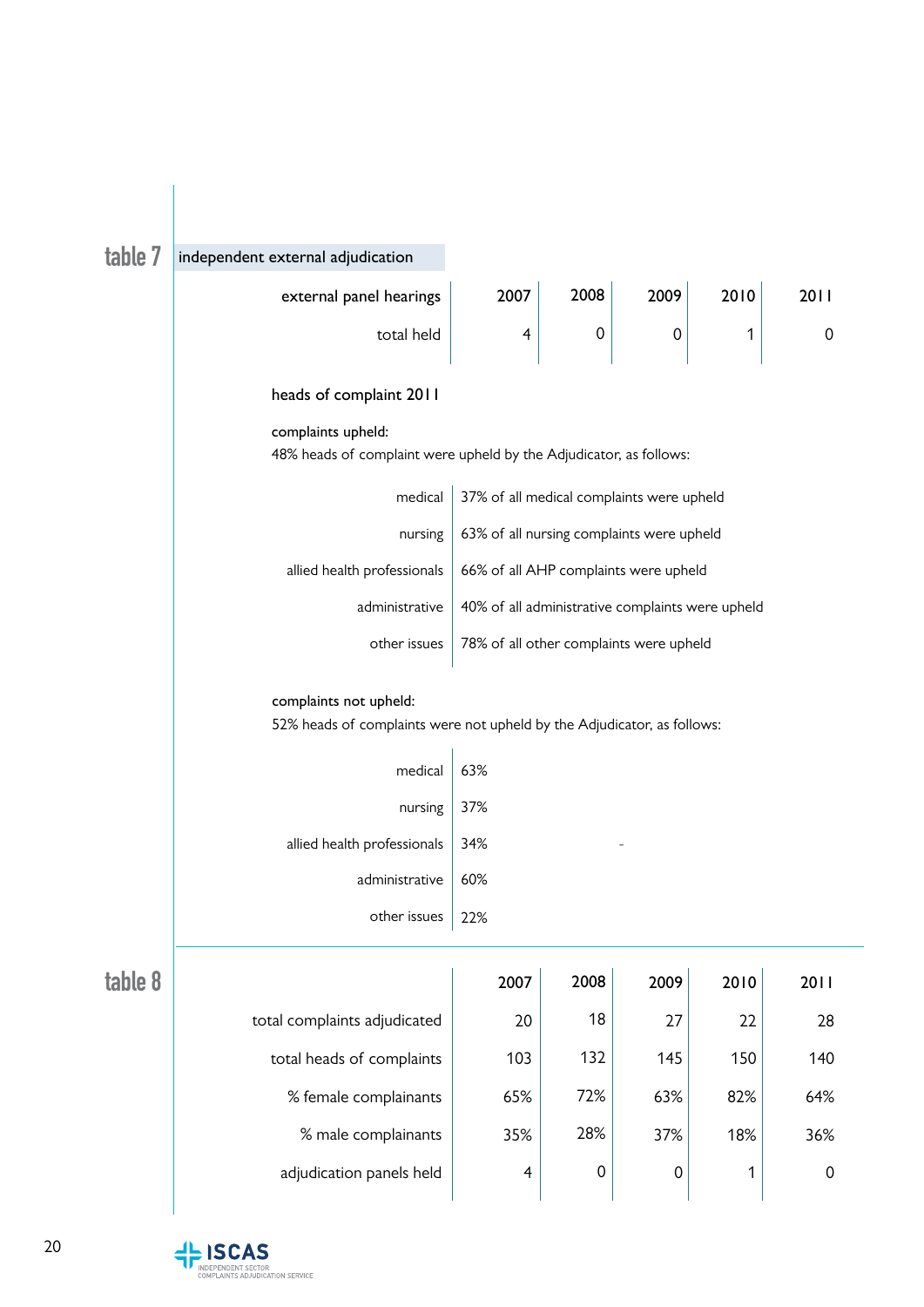| table   | independent external adjudication |                                                                         |             |             |      |                  |
|---------|-----------------------------------|-------------------------------------------------------------------------|-------------|-------------|------|------------------|
|         | external panel hearings           | 2007                                                                    | 2008        | 2009        | 2010 | 2011             |
|         | total held                        | 4                                                                       | $\mathbf 0$ | $\mathbf 0$ | 1    | $\boldsymbol{0}$ |
|         | heads of complaint 2011           |                                                                         |             |             |      |                  |
|         | complaints upheld:                | 48% heads of complaint were upheld by the Adjudicator, as follows:      |             |             |      |                  |
|         | medical                           | 37% of all medical complaints were upheld                               |             |             |      |                  |
|         | nursing                           | 63% of all nursing complaints were upheld                               |             |             |      |                  |
|         | allied health professionals       | 66% of all AHP complaints were upheld                                   |             |             |      |                  |
|         | administrative                    | 40% of all administrative complaints were upheld                        |             |             |      |                  |
|         | other issues                      | 78% of all other complaints were upheld                                 |             |             |      |                  |
|         | complaints not upheld:            | 52% heads of complaints were not upheld by the Adjudicator, as follows: |             |             |      |                  |
|         | medical                           | 63%                                                                     |             |             |      |                  |
|         | nursing                           | 37%                                                                     |             |             |      |                  |
|         | allied health professionals       | 34%                                                                     |             |             |      |                  |
|         | administrative                    | 60%                                                                     |             |             |      |                  |
|         | other issues                      | 22%                                                                     |             |             |      |                  |
| table 8 |                                   | 2007                                                                    | 2008        | 2009        | 2010 | 2011             |
|         | total complaints adjudicated      | 20                                                                      | 18          | 27          | 22   | 28               |
|         | total heads of complaints         | 103                                                                     | 132         | 145         | 150  | 140              |
|         | % female complainants             | 65%                                                                     | 72%         | 63%         | 82%  | 64%              |
|         | % male complainants               | 35%                                                                     | 28%         | 37%         | 18%  | 36%              |
|         | adjudication panels held          | $\overline{4}$                                                          | $\mathbf 0$ | $\mathbf 0$ | 1    | $\mathbf 0$      |
|         |                                   |                                                                         |             |             |      |                  |

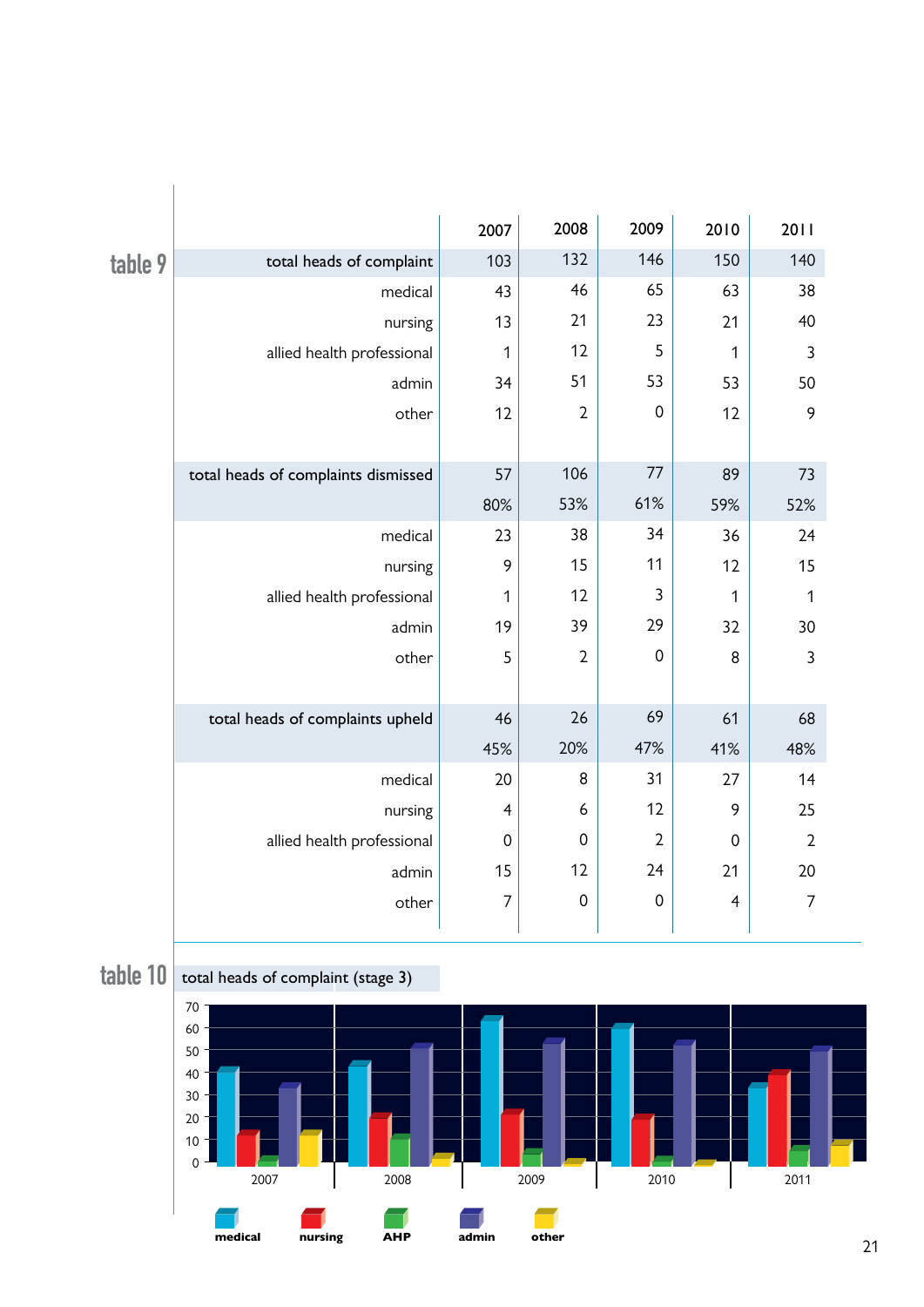|         |                                     | 2007           | 2008           | 2009             | 2010           | 2011           |
|---------|-------------------------------------|----------------|----------------|------------------|----------------|----------------|
| table 9 | total heads of complaint            | 103            | 132            | 146              | 150            | 140            |
|         | medical                             | 43             | 46             | 65               | 63             | 38             |
|         | nursing                             | 13             | 21             | 23               | 21             | 40             |
|         | allied health professional          | $\mathbf{1}$   | 12             | 5                | 1              | $\mathsf{3}$   |
|         | admin                               | 34             | 51             | 53               | 53             | 50             |
|         | other                               | 12             | $\overline{2}$ | $\mathbf 0$      | 12             | 9              |
|         |                                     |                |                |                  |                |                |
|         | total heads of complaints dismissed | 57             | 106            | 77               | 89             | 73             |
|         |                                     | 80%            | 53%            | 61%              | 59%            | 52%            |
|         | medical                             | 23             | 38             | 34               | 36             | 24             |
|         | nursing                             | 9              | 15             | 11               | 12             | 15             |
|         | allied health professional          | $\mathbf{1}$   | 12             | 3                | 1              | $\mathbf 1$    |
|         | admin                               | 19             | 39             | 29               | 32             | 30             |
|         | other                               | 5              | $\overline{2}$ | $\boldsymbol{0}$ | 8              | 3              |
|         |                                     |                |                |                  |                |                |
|         | total heads of complaints upheld    | 46             | 26             | 69               | 61             | 68             |
|         |                                     | 45%            | 20%            | 47%              | 41%            | 48%            |
|         | medical                             | 20             | 8              | 31               | 27             | 14             |
|         | nursing                             | $\overline{4}$ | 6              | 12               | 9              | 25             |
|         | allied health professional          | $\mathbf 0$    | $\mathbf 0$    | $\overline{2}$   | $\mathbf 0$    | $\overline{2}$ |
|         | admin                               | 15             | 12             | 24               | 21             | 20             |
|         | other                               | $\overline{7}$ | $\mathbf 0$    | $\mathbf 0$      | $\overline{4}$ | $\overline{7}$ |
|         |                                     |                |                |                  |                |                |



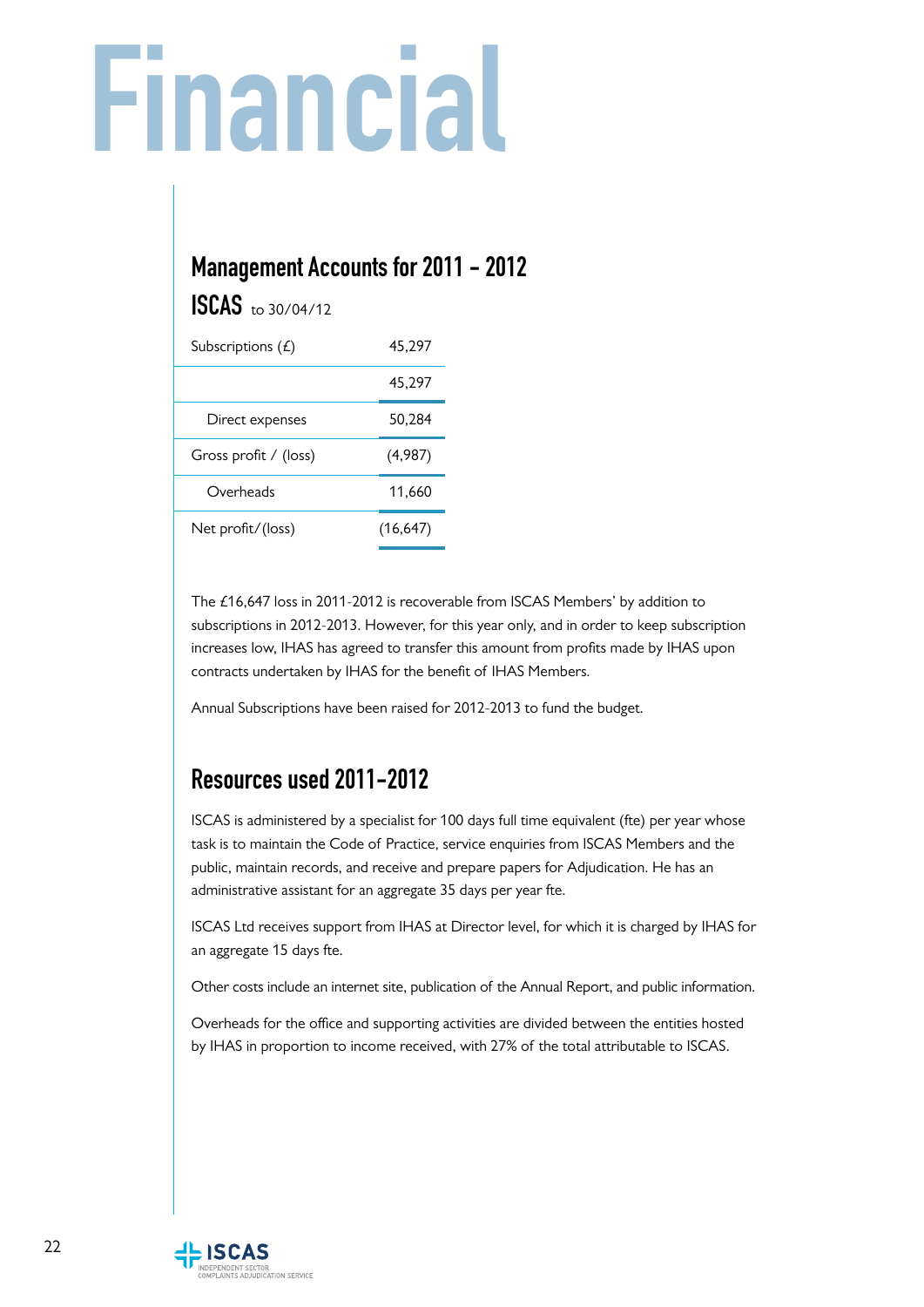# Financial

# Management Accounts for 2011 - 2012

ISCAS to 30/04/12

| Subscriptions $(E)$   | 45,297    |  |  |
|-----------------------|-----------|--|--|
|                       | 45.297    |  |  |
| Direct expenses       | 50.284    |  |  |
| Gross profit / (loss) | (4,987)   |  |  |
| Overheads             | 11.660    |  |  |
| Net profit/(loss)     | (16, 647) |  |  |

The £16,647 loss in 2011-2012 is recoverable from ISCAS Members' by addition to subscriptions in 2012-2013. However, for this year only, and in order to keep subscription increases low, IHAS has agreed to transfer this amount from profits made by IHAS upon contracts undertaken by IHAS for the benefit of IHAS Members.

Annual Subscriptions have been raised for 2012-2013 to fund the budget.

# Resources used 2011-2012

ISCAS is administered by a specialist for 100 days full time equivalent (fte) per year whose task is to maintain the Code of Practice, service enquiries from ISCAS Members and the public, maintain records, and receive and prepare papers for Adjudication. He has an administrative assistant for an aggregate 35 days per year fte.

ISCAS Ltd receives support from IHAS at Director level, for which it is charged by IHAS for an aggregate 15 days fte.

Other costs include an internet site, publication of the Annual Report, and public information.

Overheads for the office and supporting activities are divided between the entities hosted by IHAS in proportion to income received, with 27% of the total attributable to ISCAS.

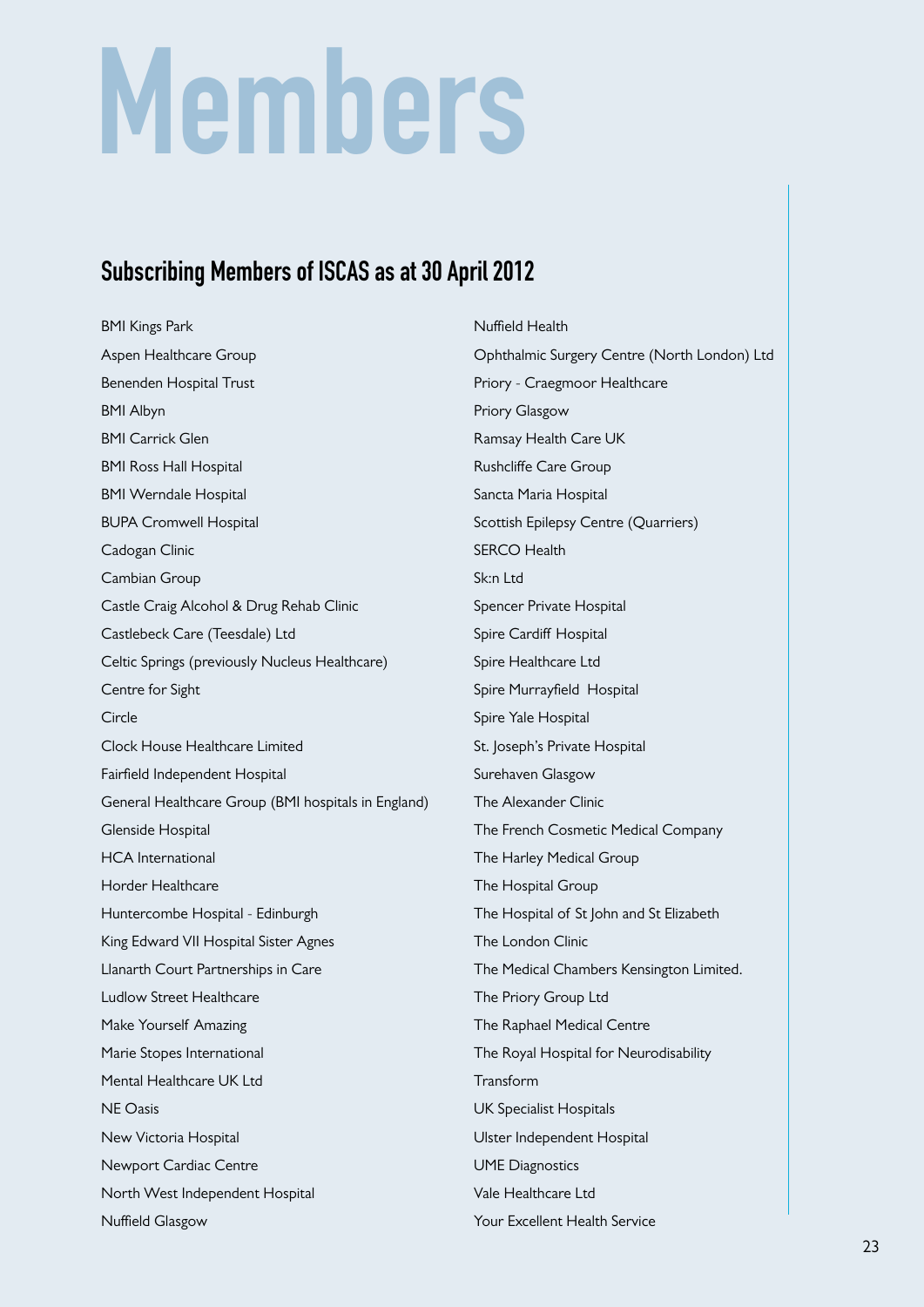# Members

# Subscribing Members of ISCAS as at 30 April 2012

BMI Kings Park Aspen Healthcare Group Benenden Hospital Trust BMI Albyn BMI Carrick Glen BMI Ross Hall Hospital BMI Werndale Hospital BUPA Cromwell Hospital Cadogan Clinic Cambian Group Castle Craig Alcohol & Drug Rehab Clinic Castlebeck Care (Teesdale) Ltd Celtic Springs (previously Nucleus Healthcare) Centre for Sight Circle Clock House Healthcare Limited Fairfield Independent Hospital General Healthcare Group (BMI hospitals in England) Glenside Hospital HCA International Horder Healthcare Huntercombe Hospital - Edinburgh King Edward VII Hospital Sister Agnes Llanarth Court Partnerships in Care Ludlow Street Healthcare Make Yourself Amazing Marie Stopes International Mental Healthcare UK Ltd NE Oasis New Victoria Hospital Newport Cardiac Centre North West Independent Hospital Nuffield Glasgow

Nuffield Health Ophthalmic Surgery Centre (North London) Ltd Priory - Craegmoor Healthcare Priory Glasgow Ramsay Health Care UK Rushcliffe Care Group Sancta Maria Hospital Scottish Epilepsy Centre (Quarriers) SERCO Health Sk:n Ltd Spencer Private Hospital Spire Cardiff Hospital Spire Healthcare Ltd Spire Murrayfield Hospital Spire Yale Hospital St. Joseph's Private Hospital Surehaven Glasgow The Alexander Clinic The French Cosmetic Medical Company The Harley Medical Group The Hospital Group The Hospital of St John and St Elizabeth The London Clinic The Medical Chambers Kensington Limited. The Priory Group Ltd The Raphael Medical Centre The Royal Hospital for Neurodisability Transform UK Specialist Hospitals Ulster Independent Hospital UME Diagnostics Vale Healthcare Ltd Your Excellent Health Service